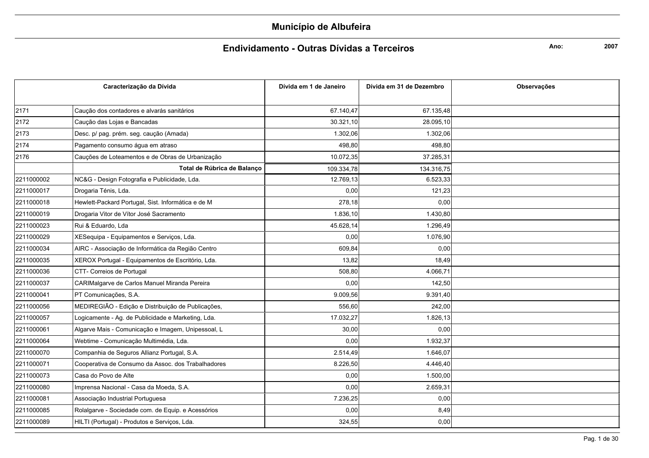### Endividamento - Outras Dívidas a Terceiros

Ano:

|            | Caracterização da Dívida                           | Dívida em 1 de Janeiro | Dívida em 31 de Dezembro | <b>Observações</b> |
|------------|----------------------------------------------------|------------------------|--------------------------|--------------------|
|            |                                                    |                        |                          |                    |
| 2171       | Caução dos contadores e alvarás sanitários         | 67.140,47              | 67.135,48                |                    |
| 2172       | Caução das Lojas e Bancadas                        | 30.321,10              | 28.095,10                |                    |
| 2173       | Desc. p/ pag. prém. seg. caução (Amada)            | 1.302,06               | 1.302,06                 |                    |
| 2174       | Pagamento consumo água em atraso                   | 498,80                 | 498,80                   |                    |
| 2176       | Cauções de Loteamentos e de Obras de Urbanização   | 10.072,35              | 37.285,31                |                    |
|            | Total de Rúbrica de Balanco                        | 109.334,78             | 134.316,75               |                    |
| 2211000002 | NC&G - Design Fotografia e Publicidade, Lda.       | 12.769,13              | 6.523,33                 |                    |
| 2211000017 | Drogaria Ténis, Lda.                               | 0,00                   | 121,23                   |                    |
| 2211000018 | Hewlett-Packard Portugal, Sist. Informática e de M | 278,18                 | 0,00                     |                    |
| 2211000019 | Drogaria Vitor de Vítor José Sacramento            | 1.836,10               | 1.430,80                 |                    |
| 2211000023 | Rui & Eduardo, Lda                                 | 45.628,14              | 1.296,49                 |                    |
| 2211000029 | XESequipa - Equipamentos e Serviços, Lda.          | 0,00                   | 1.076,90                 |                    |
| 2211000034 | AIRC - Associação de Informática da Região Centro  | 609,84                 | 0,00                     |                    |
| 2211000035 | XEROX Portugal - Equipamentos de Escritório, Lda.  | 13,82                  | 18,49                    |                    |
| 2211000036 | CTT- Correios de Portugal                          | 508,80                 | 4.066,71                 |                    |
| 2211000037 | CARIMalgarve de Carlos Manuel Miranda Pereira      | 0,00                   | 142,50                   |                    |
| 2211000041 | PT Comunicações, S.A.                              | 9.009,56               | 9.391,40                 |                    |
| 2211000056 | MEDIREGIÃO - Edição e Distribuição de Publicações, | 556,60                 | 242,00                   |                    |
| 2211000057 | Logicamente - Ag. de Publicidade e Marketing, Lda. | 17.032,27              | 1.826,13                 |                    |
| 2211000061 | Algarve Mais - Comunicação e Imagem, Unipessoal, L | 30,00                  | 0,00                     |                    |
| 2211000064 | Webtime - Comunicação Multimédia, Lda.             | 0,00                   | 1.932,37                 |                    |
| 2211000070 | Companhia de Seguros Allianz Portugal, S.A.        | 2.514,49               | 1.646,07                 |                    |
| 2211000071 | Cooperativa de Consumo da Assoc. dos Trabalhadores | 8.226,50               | 4.446,40                 |                    |
| 2211000073 | Casa do Povo de Alte                               | 0,00                   | 1.500,00                 |                    |
| 2211000080 | Imprensa Nacional - Casa da Moeda, S.A.            | 0,00                   | 2.659,31                 |                    |
| 2211000081 | Associação Industrial Portuguesa                   | 7.236,25               | 0,00                     |                    |
| 2211000085 | Rolalgarve - Sociedade com. de Equip. e Acessórios | 0,00                   | 8,49                     |                    |
| 2211000089 | HILTI (Portugal) - Produtos e Serviços, Lda.       | 324,55                 | 0,00                     |                    |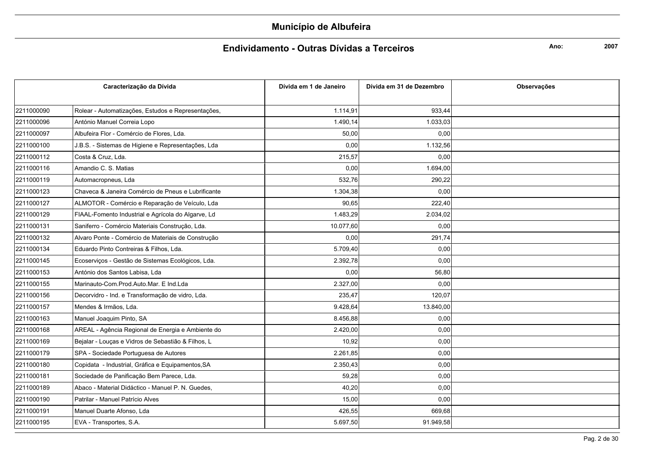### Endividamento - Outras Dívidas a Terceiros

Ano:

|            | Caracterização da Dívida                           | Dívida em 1 de Janeiro | Dívida em 31 de Dezembro | <b>Observações</b> |
|------------|----------------------------------------------------|------------------------|--------------------------|--------------------|
|            |                                                    |                        |                          |                    |
| 2211000090 | Rolear - Automatizações, Estudos e Representações, | 1.114,91               | 933,44                   |                    |
| 2211000096 | António Manuel Correia Lopo                        | 1.490.14               | 1.033,03                 |                    |
| 2211000097 | Albufeira Flor - Comércio de Flores. Lda.          | 50,00                  | 0,00                     |                    |
| 2211000100 | J.B.S. - Sistemas de Higiene e Representações, Lda | 0,00                   | 1.132,56                 |                    |
| 2211000112 | Costa & Cruz, Lda.                                 | 215,57                 | 0,00                     |                    |
| 2211000116 | Amandio C. S. Matias                               | 0,00                   | 1.694,00                 |                    |
| 2211000119 | Automacropneus, Lda                                | 532,76                 | 290,22                   |                    |
| 2211000123 | Chaveca & Janeira Comércio de Pneus e Lubrificante | 1.304,38               | 0,00                     |                    |
| 2211000127 | ALMOTOR - Comércio e Reparação de Veículo, Lda     | 90,65                  | 222,40                   |                    |
| 2211000129 | FIAAL-Fomento Industrial e Agrícola do Algarve, Ld | 1.483,29               | 2.034,02                 |                    |
| 2211000131 | Saniferro - Comércio Materiais Construção, Lda.    | 10.077,60              | 0,00                     |                    |
| 2211000132 | Alvaro Ponte - Comércio de Materiais de Construção | 0,00                   | 291,74                   |                    |
| 2211000134 | Eduardo Pinto Contreiras & Filhos, Lda.            | 5.709,40               | 0,00                     |                    |
| 2211000145 | Ecoserviços - Gestão de Sistemas Ecológicos, Lda.  | 2.392,78               | 0,00                     |                    |
| 2211000153 | António dos Santos Labisa, Lda                     | 0,00                   | 56,80                    |                    |
| 2211000155 | Marinauto-Com.Prod.Auto.Mar. E Ind.Lda             | 2.327,00               | 0,00                     |                    |
| 2211000156 | Decorvidro - Ind. e Transformação de vidro, Lda.   | 235,47                 | 120,07                   |                    |
| 2211000157 | Mendes & Irmãos, Lda.                              | 9.428,64               | 13.840,00                |                    |
| 2211000163 | Manuel Joaquim Pinto, SA                           | 8.456,88               | 0,00                     |                    |
| 2211000168 | AREAL - Agência Regional de Energia e Ambiente do  | 2.420,00               | 0,00                     |                    |
| 2211000169 | Bejalar - Louças e Vidros de Sebastião & Filhos, L | 10,92                  | 0,00                     |                    |
| 2211000179 | SPA - Sociedade Portuguesa de Autores              | 2.261,85               | 0,00                     |                    |
| 2211000180 | Copidata - Industrial, Gráfica e Equipamentos, SA  | 2.350,43               | 0,00                     |                    |
| 2211000181 | Sociedade de Panificação Bem Parece, Lda.          | 59,28                  | 0,00                     |                    |
| 2211000189 | Abaco - Material Didáctico - Manuel P. N. Guedes,  | 40,20                  | 0,00                     |                    |
| 2211000190 | Patrilar - Manuel Patrício Alves                   | 15,00                  | 0,00                     |                    |
| 2211000191 | Manuel Duarte Afonso, Lda                          | 426,55                 | 669,68                   |                    |
| 2211000195 | EVA - Transportes, S.A.                            | 5.697,50               | 91.949,58                |                    |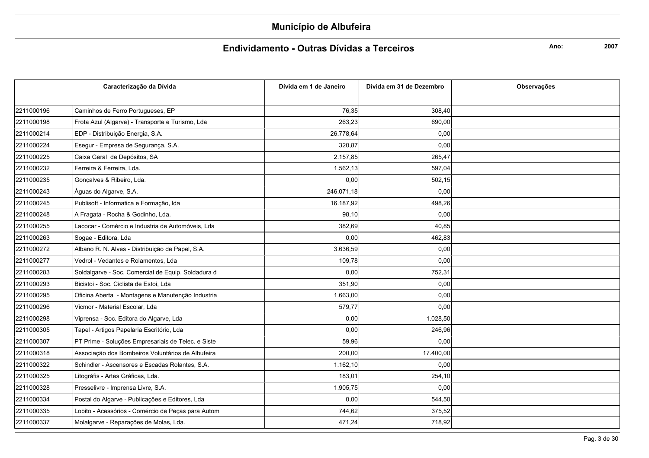### Endividamento - Outras Dívidas a Terceiros

Ano:

|            | Caracterização da Dívida                           | Dívida em 1 de Janeiro | Dívida em 31 de Dezembro | Observações |
|------------|----------------------------------------------------|------------------------|--------------------------|-------------|
|            |                                                    |                        |                          |             |
| 2211000196 | Caminhos de Ferro Portugueses, EP                  | 76,35                  | 308,40                   |             |
| 2211000198 | Frota Azul (Algarve) - Transporte e Turismo, Lda   | 263,23                 | 690,00                   |             |
| 2211000214 | EDP - Distribuição Energia, S.A.                   | 26.778,64              | 0,00                     |             |
| 2211000224 | Esegur - Empresa de Segurança, S.A.                | 320,87                 | 0,00                     |             |
| 2211000225 | Caixa Geral de Depósitos, SA                       | 2.157,85               | 265,47                   |             |
| 2211000232 | Ferreira & Ferreira, Lda.                          | 1.562,13               | 597,04                   |             |
| 2211000235 | Gonçalves & Ribeiro, Lda.                          | 0,00                   | 502,15                   |             |
| 2211000243 | Águas do Algarve, S.A.                             | 246.071,18             | 0,00                     |             |
| 2211000245 | Publisoft - Informatica e Formação, Ida            | 16.187,92              | 498,26                   |             |
| 2211000248 | A Fragata - Rocha & Godinho, Lda.                  | 98,10                  | 0,00                     |             |
| 2211000255 | Lacocar - Comércio e Industria de Automóveis, Lda  | 382,69                 | 40,85                    |             |
| 2211000263 | Sogae - Editora, Lda                               | 0.00                   | 462.83                   |             |
| 2211000272 | Albano R. N. Alves - Distribuição de Papel, S.A.   | 3.636,59               | 0,00                     |             |
| 2211000277 | Vedrol - Vedantes e Rolamentos, Lda                | 109,78                 | 0,00                     |             |
| 2211000283 | Soldalgarve - Soc. Comercial de Equip. Soldadura d | 0,00                   | 752,31                   |             |
| 2211000293 | Bicistoi - Soc. Ciclista de Estoi, Lda             | 351,90                 | 0,00                     |             |
| 2211000295 | Oficina Aberta - Montagens e Manutenção Industria  | 1.663,00               | 0,00                     |             |
| 2211000296 | Vicmor - Material Escolar, Lda                     | 579,77                 | 0,00                     |             |
| 2211000298 | Viprensa - Soc. Editora do Algarve, Lda            | 0,00                   | 1.028,50                 |             |
| 2211000305 | Tapel - Artigos Papelaria Escritório, Lda          | 0,00                   | 246,96                   |             |
| 2211000307 | PT Prime - Soluções Empresariais de Telec. e Siste | 59,96                  | 0,00                     |             |
| 2211000318 | Associação dos Bombeiros Voluntários de Albufeira  | 200,00                 | 17.400,00                |             |
| 2211000322 | Schindler - Ascensores e Escadas Rolantes, S.A.    | 1.162,10               | 0,00                     |             |
| 2211000325 | Litográfis - Artes Gráficas, Lda.                  | 183,01                 | 254,10                   |             |
| 2211000328 | Presselivre - Imprensa Livre, S.A.                 | 1.905,75               | 0,00                     |             |
| 2211000334 | Postal do Algarve - Publicações e Editores, Lda    | 0,00                   | 544,50                   |             |
| 2211000335 | Lobito - Acessórios - Comércio de Peças para Autom | 744,62                 | 375,52                   |             |
| 2211000337 | Molalgarve - Reparações de Molas, Lda.             | 471,24                 | 718,92                   |             |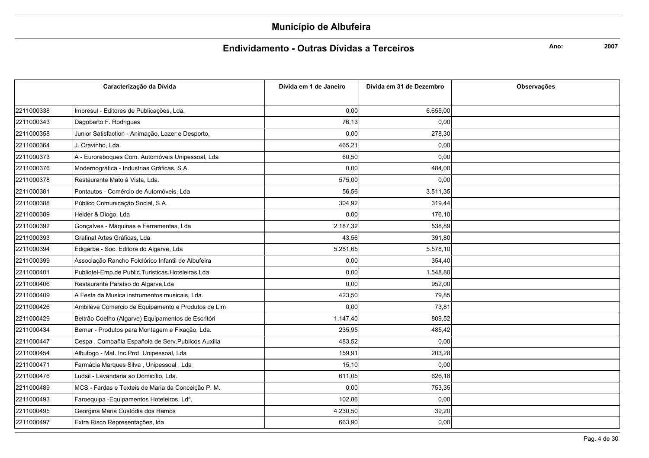### Endividamento - Outras Dívidas a Terceiros

Ano:

| Caracterização da Dívida |                                                         | Dívida em 1 de Janeiro | Dívida em 31 de Dezembro | Observações |
|--------------------------|---------------------------------------------------------|------------------------|--------------------------|-------------|
|                          |                                                         |                        |                          |             |
| 2211000338               | Impresul - Editores de Publicações, Lda.                | 0,00                   | 6.655,00                 |             |
| 2211000343               | Dagoberto F. Rodrigues                                  | 76,13                  | 0,00                     |             |
| 2211000358               | Junior Satisfaction - Animação, Lazer e Desporto,       | 0,00                   | 278,30                   |             |
| 2211000364               | J. Cravinho, Lda.                                       | 465,21                 | 0,00                     |             |
| 2211000373               | A - Euroreboques Com. Automóveis Unipessoal, Lda        | 60,50                  | 0,00                     |             |
| 2211000376               | Modernográfica - Industrias Gráficas, S.A.              | 0,00                   | 484,00                   |             |
| 2211000378               | Restaurante Mato à Vista, Lda.                          | 575,00                 | 0,00                     |             |
| 2211000381               | Pontautos - Comércio de Automóveis, Lda                 | 56,56                  | 3.511,35                 |             |
| 2211000388               | Público Comunicação Social, S.A.                        | 304,92                 | 319,44                   |             |
| 2211000389               | Helder & Diogo, Lda                                     | 0,00                   | 176,10                   |             |
| 2211000392               | Gonçalves - Máquinas e Ferramentas, Lda                 | 2.187,32               | 538,89                   |             |
| 2211000393               | Grafinal Artes Gráficas. Lda                            | 43,56                  | 391.80                   |             |
| 2211000394               | Edigarbe - Soc. Editora do Algarve, Lda                 | 5.281,65               | 5.578,10                 |             |
| 2211000399               | Associação Rancho Folclórico Infantil de Albufeira      | 0,00                   | 354,40                   |             |
| 2211000401               | Publiotel-Emp.de Public, Turisticas. Hoteleiras, Lda    | 0,00                   | 1.548,80                 |             |
| 2211000406               | Restaurante Paraíso do Algarve, Lda                     | 0,00                   | 952,00                   |             |
| 2211000409               | A Festa da Musica instrumentos musicais, Lda.           | 423,50                 | 79,85                    |             |
| 2211000426               | Ambileve Comercio de Equipamento e Produtos de Lim      | 0,00                   | 73,81                    |             |
| 2211000429               | Beltrão Coelho (Algarve) Equipamentos de Escritóri      | 1.147,40               | 809,52                   |             |
| 2211000434               | Berner - Produtos para Montagem e Fixação, Lda.         | 235,95                 | 485,42                   |             |
| 2211000447               | Cespa, Compañia Española de Serv. Publicos Auxilia      | 483,52                 | 0,00                     |             |
| 2211000454               | Albufogo - Mat. Inc. Prot. Unipessoal, Lda              | 159,91                 | 203,28                   |             |
| 2211000471               | Farmácia Marques Silva, Unipessoal, Lda                 | 15,10                  | 0,00                     |             |
| 2211000476               | Ludsil - Lavandaria ao Domicílio, Lda.                  | 611,05                 | 626,18                   |             |
| 2211000489               | MCS - Fardas e Texteis de Maria da Conceição P. M.      | 0,00                   | 753,35                   |             |
| 2211000493               | Faroequipa - Equipamentos Hoteleiros, Ld <sup>a</sup> . | 102,86                 | 0,00                     |             |
| 2211000495               | Georgina Maria Custódia dos Ramos                       | 4.230,50               | 39,20                    |             |
| 2211000497               | Extra Risco Representações, Ida                         | 663,90                 | 0,00                     |             |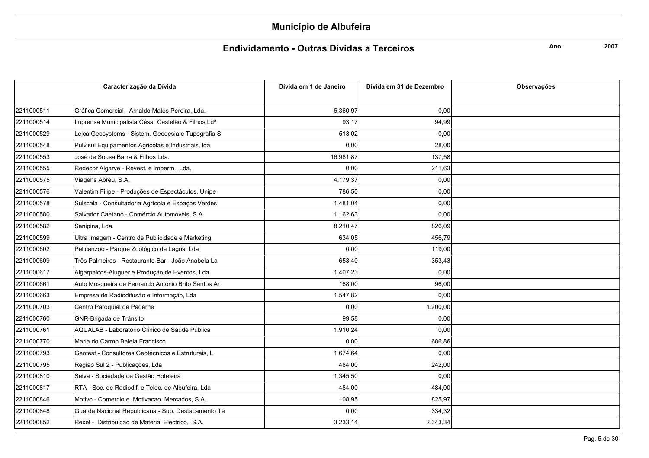### Endividamento - Outras Dívidas a Terceiros

Ano:

|            | Caracterização da Dívida                            | Dívida em 1 de Janeiro | Dívida em 31 de Dezembro | <b>Observações</b> |
|------------|-----------------------------------------------------|------------------------|--------------------------|--------------------|
|            |                                                     |                        |                          |                    |
| 2211000511 | Gráfica Comercial - Arnaldo Matos Pereira, Lda.     | 6.360,97               | 0,00                     |                    |
| 2211000514 | Imprensa Municipalista César Castelão & Filhos, Lda | 93,17                  | 94,99                    |                    |
| 2211000529 | Leica Geosystems - Sistem. Geodesia e Tupografia S  | 513,02                 | 0,00                     |                    |
| 2211000548 | Pulvisul Equipamentos Agricolas e Industriais, Ida  | 0,00                   | 28,00                    |                    |
| 2211000553 | José de Sousa Barra & Filhos Lda.                   | 16.981,87              | 137,58                   |                    |
| 2211000555 | Redecor Algarve - Revest. e Imperm., Lda.           | 0,00                   | 211,63                   |                    |
| 2211000575 | Viagens Abreu, S.A.                                 | 4.179,37               | 0,00                     |                    |
| 2211000576 | Valentim Filipe - Produções de Espectáculos, Unipe  | 786,50                 | 0,00                     |                    |
| 2211000578 | Sulscala - Consultadoria Agrícola e Espaços Verdes  | 1.481,04               | 0,00                     |                    |
| 2211000580 | Salvador Caetano - Comércio Automóveis, S.A.        | 1.162,63               | 0.00                     |                    |
| 2211000582 | Sanipina, Lda.                                      | 8.210,47               | 826,09                   |                    |
| 2211000599 | Ultra Imagem - Centro de Publicidade e Marketing,   | 634,05                 | 456,79                   |                    |
| 2211000602 | Pelicanzoo - Parque Zoológico de Lagos, Lda         | 0,00                   | 119,00                   |                    |
| 2211000609 | Três Palmeiras - Restaurante Bar - João Anabela La  | 653,40                 | 353,43                   |                    |
| 2211000617 | Algarpalcos-Aluguer e Produção de Eventos, Lda      | 1.407,23               | 0,00                     |                    |
| 2211000661 | Auto Mosqueira de Fernando António Brito Santos Ar  | 168,00                 | 96,00                    |                    |
| 2211000663 | Empresa de Radiodifusão e Informação, Lda           | 1.547,82               | 0,00                     |                    |
| 2211000703 | Centro Paroquial de Paderne                         | 0,00                   | 1.200,00                 |                    |
| 2211000760 | GNR-Brigada de Trânsito                             | 99,58                  | 0,00                     |                    |
| 2211000761 | AQUALAB - Laboratório Clínico de Saúde Pública      | 1.910,24               | 0.00                     |                    |
| 2211000770 | Maria do Carmo Baleia Francisco                     | 0,00                   | 686,86                   |                    |
| 2211000793 | Geotest - Consultores Geotécnicos e Estruturais, L  | 1.674,64               | 0,00                     |                    |
| 2211000795 | Região Sul 2 - Publicações, Lda                     | 484,00                 | 242,00                   |                    |
| 2211000810 | Seiva - Sociedade de Gestão Hoteleira               | 1.345,50               | 0,00                     |                    |
| 2211000817 | RTA - Soc. de Radiodif. e Telec. de Albufeira, Lda  | 484,00                 | 484,00                   |                    |
| 2211000846 | Motivo - Comercio e Motivacao Mercados, S.A.        | 108,95                 | 825,97                   |                    |
| 2211000848 | Guarda Nacional Republicana - Sub. Destacamento Te  | 0,00                   | 334,32                   |                    |
| 2211000852 | Rexel - Distribuicao de Material Electrico, S.A.    | 3.233,14               | 2.343,34                 |                    |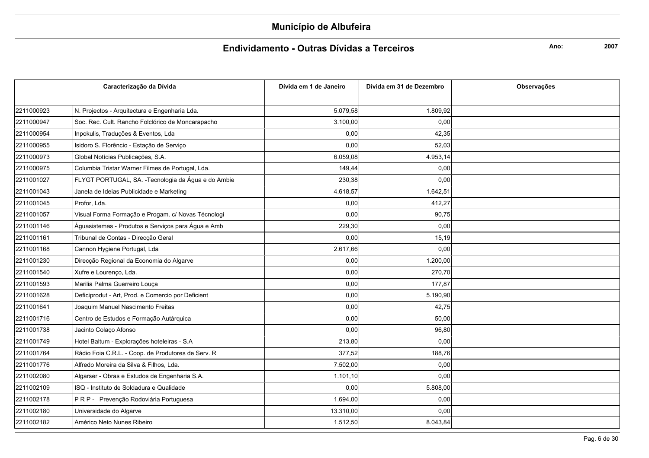### Endividamento - Outras Dívidas a Terceiros

Ano:

| Caracterização da Dívida |                                                     | Dívida em 1 de Janeiro | Dívida em 31 de Dezembro | Observações |
|--------------------------|-----------------------------------------------------|------------------------|--------------------------|-------------|
|                          |                                                     |                        |                          |             |
| 2211000923               | N. Projectos - Arquitectura e Engenharia Lda.       | 5.079,58               | 1.809,92                 |             |
| 2211000947               | Soc. Rec. Cult. Rancho Folclórico de Moncarapacho   | 3.100,00               | 0,00                     |             |
| 2211000954               | Inpokulis, Traduções & Eventos, Lda                 | 0,00                   | 42,35                    |             |
| 2211000955               | Isidoro S. Florêncio - Estação de Serviço           | 0,00                   | 52.03                    |             |
| 2211000973               | Global Notícias Publicações, S.A.                   | 6.059,08               | 4.953,14                 |             |
| 2211000975               | Columbia Tristar Warner Filmes de Portugal, Lda.    | 149,44                 | 0,00                     |             |
| 2211001027               | FLYGT PORTUGAL, SA. - Tecnologia da Água e do Ambie | 230,38                 | 0,00                     |             |
| 2211001043               | Janela de Ideias Publicidade e Marketing            | 4.618,57               | 1.642,51                 |             |
| 2211001045               | Profor. Lda.                                        | 0,00                   | 412,27                   |             |
| 2211001057               | Visual Forma Formação e Progam. c/ Novas Técnologi  | 0,00                   | 90.75                    |             |
| 2211001146               | Águasistemas - Produtos e Serviços para Água e Amb  | 229,30                 | 0,00                     |             |
| 2211001161               | Tribunal de Contas - Direcção Geral                 | 0,00                   | 15,19                    |             |
| 2211001168               | Cannon Hygiene Portugal, Lda                        | 2.617,66               | 0,00                     |             |
| 2211001230               | Direcção Regional da Economia do Algarve            | 0,00                   | 1.200,00                 |             |
| 2211001540               | Xufre e Lourenço, Lda.                              | 0,00                   | 270.70                   |             |
| 2211001593               | Marilia Palma Guerreiro Louça                       | 0,00                   | 177,87                   |             |
| 2211001628               | Deficiprodut - Art, Prod. e Comercio por Deficient  | 0,00                   | 5.190,90                 |             |
| 2211001641               | Joaquim Manuel Nascimento Freitas                   | 0,00                   | 42,75                    |             |
| 2211001716               | Centro de Estudos e Formação Autárquica             | 0,00                   | 50,00                    |             |
| 2211001738               | Jacinto Colaço Afonso                               | 0,00                   | 96.80                    |             |
| 2211001749               | Hotel Baltum - Explorações hoteleiras - S.A         | 213,80                 | 0,00                     |             |
| 2211001764               | Rádio Foia C.R.L. - Coop. de Produtores de Serv. R  | 377,52                 | 188,76                   |             |
| 2211001776               | Alfredo Moreira da Silva & Filhos, Lda.             | 7.502,00               | 0,00                     |             |
| 2211002080               | Algarser - Obras e Estudos de Engenharia S.A.       | 1.101,10               | 0,00                     |             |
| 2211002109               | ISQ - Instituto de Soldadura e Qualidade            | 0,00                   | 5.808,00                 |             |
| 2211002178               | PRP - Prevenção Rodoviária Portuguesa               | 1.694,00               | 0,00                     |             |
| 2211002180               | Universidade do Algarve                             | 13.310,00              | 0,00                     |             |
| 2211002182               | Américo Neto Nunes Ribeiro                          | 1.512,50               | 8.043,84                 |             |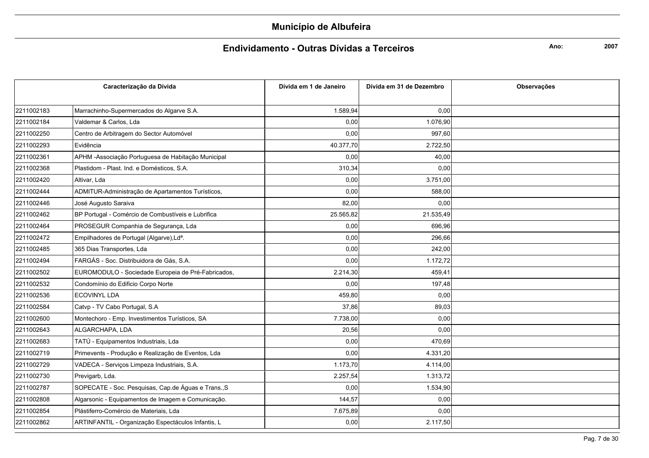### Endividamento - Outras Dívidas a Terceiros

Ano:

|            | Caracterização da Dívida                              | Dívida em 1 de Janeiro | Dívida em 31 de Dezembro | <b>Observações</b> |
|------------|-------------------------------------------------------|------------------------|--------------------------|--------------------|
|            |                                                       |                        |                          |                    |
| 2211002183 | Marrachinho-Supermercados do Algarve S.A.             | 1.589,94               | 0,00                     |                    |
| 2211002184 | Valdemar & Carlos, Lda                                | 0,00                   | 1.076,90                 |                    |
| 2211002250 | Centro de Arbitragem do Sector Automóvel              | 0,00                   | 997,60                   |                    |
| 2211002293 | Evidência                                             | 40.377,70              | 2.722,50                 |                    |
| 2211002361 | APHM - Associação Portuguesa de Habitação Municipal   | 0,00                   | 40,00                    |                    |
| 2211002368 | Plastidom - Plast. Ind. e Domésticos, S.A.            | 310,34                 | 0,00                     |                    |
| 2211002420 | Altivar, Lda                                          | 0,00                   | 3.751,00                 |                    |
| 2211002444 | ADMITUR-Administração de Apartamentos Turísticos,     | 0,00                   | 588,00                   |                    |
| 2211002446 | José Augusto Saraiva                                  | 82,00                  | 0,00                     |                    |
| 2211002462 | BP Portugal - Comércio de Combustíveis e Lubrifica    | 25.565,82              | 21.535,49                |                    |
| 2211002464 | PROSEGUR Companhia de Segurança, Lda                  | 0,00                   | 696,96                   |                    |
| 2211002472 | Empilhadores de Portugal (Algarve), Ld <sup>a</sup> . | 0,00                   | 296,66                   |                    |
| 2211002485 | 365 Dias Transportes, Lda                             | 0,00                   | 242,00                   |                    |
| 2211002494 | FARGÁS - Soc. Distribuidora de Gás, S.A.              | 0,00                   | 1.172,72                 |                    |
| 2211002502 | EUROMODULO - Sociedade Europeia de Pré-Fabricados,    | 2.214,30               | 459,41                   |                    |
| 2211002532 | Condomínio do Edificio Corpo Norte                    | 0,00                   | 197,48                   |                    |
| 2211002536 | <b>ECOVINYL LDA</b>                                   | 459,80                 | 0,00                     |                    |
| 2211002584 | Catvp - TV Cabo Portugal, S.A                         | 37,86                  | 89,03                    |                    |
| 2211002600 | Montechoro - Emp. Investimentos Turísticos, SA        | 7.738,00               | 0,00                     |                    |
| 2211002643 | ALGARCHAPA, LDA                                       | 20,56                  | 0,00                     |                    |
| 2211002683 | TATÚ - Equipamentos Industriais, Lda                  | 0,00                   | 470,69                   |                    |
| 2211002719 | Primevents - Produção e Realização de Eventos, Lda    | 0,00                   | 4.331,20                 |                    |
| 2211002729 | VADECA - Serviços Limpeza Industriais, S.A.           | 1.173,70               | 4.114,00                 |                    |
| 2211002730 | Previgarb, Lda.                                       | 2.257,54               | 1.313,72                 |                    |
| 2211002787 | SOPECATE - Soc. Pesquisas, Cap.de Águas e Trans., S   | 0,00                   | 1.534,90                 |                    |
| 2211002808 | Algarsonic - Equipamentos de Imagem e Comunicação.    | 144,57                 | 0,00                     |                    |
| 2211002854 | Plástiferro-Comércio de Materiais, Lda                | 7.675,89               | 0,00                     |                    |
| 2211002862 | ARTINFANTIL - Organização Espectáculos Infantis, L    | 0,00                   | 2.117,50                 |                    |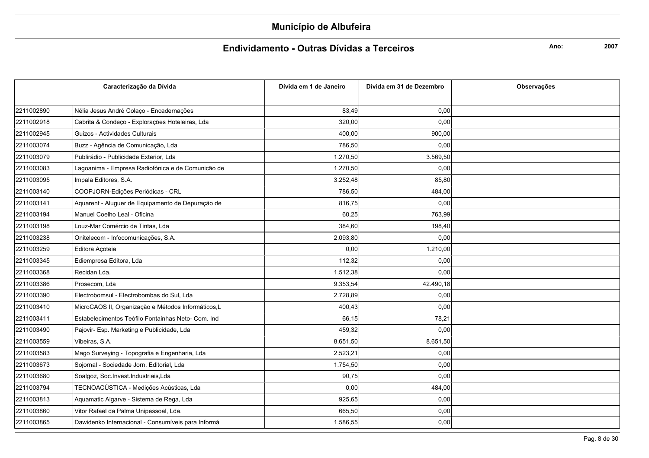### Endividamento - Outras Dívidas a Terceiros

Ano:

|            | Caracterização da Dívida                           | Dívida em 1 de Janeiro | Dívida em 31 de Dezembro | <b>Observações</b> |
|------------|----------------------------------------------------|------------------------|--------------------------|--------------------|
|            |                                                    |                        |                          |                    |
| 2211002890 | Nélia Jesus André Colaço - Encadernações           | 83,49                  | 0,00                     |                    |
| 2211002918 | Cabrita & Condeço - Explorações Hoteleiras, Lda    | 320,00                 | 0,00                     |                    |
| 2211002945 | Guizos - Actividades Culturais                     | 400,00                 | 900,00                   |                    |
| 2211003074 | Buzz - Agência de Comunicação, Lda                 | 786,50                 | 0,00                     |                    |
| 2211003079 | Publirádio - Publicidade Exterior, Lda             | 1.270,50               | 3.569,50                 |                    |
| 2211003083 | Lagoanima - Empresa Radiofónica e de Comunicão de  | 1.270,50               | 0,00                     |                    |
| 2211003095 | Impala Editores, S.A.                              | 3.252,48               | 85,80                    |                    |
| 2211003140 | COOPJORN-Edições Periódicas - CRL                  | 786,50                 | 484,00                   |                    |
| 2211003141 | Aquarent - Aluguer de Equipamento de Depuração de  | 816,75                 | 0,00                     |                    |
| 2211003194 | Manuel Coelho Leal - Oficina                       | 60,25                  | 763,99                   |                    |
| 2211003198 | Louz-Mar Comércio de Tintas, Lda                   | 384,60                 | 198,40                   |                    |
| 2211003238 | Onitelecom - Infocomunicações, S.A.                | 2.093,80               | 0,00                     |                    |
| 2211003259 | Editora Açoteia                                    | 0,00                   | 1.210,00                 |                    |
| 2211003345 | Ediempresa Editora, Lda                            | 112,32                 | 0,00                     |                    |
| 2211003368 | Recidan Lda.                                       | 1.512,38               | 0,00                     |                    |
| 2211003386 | Prosecom, Lda                                      | 9.353,54               | 42.490,18                |                    |
| 2211003390 | Electrobomsul - Electrobombas do Sul, Lda          | 2.728,89               | 0,00                     |                    |
| 2211003410 | MicroCAOS II, Organização e Métodos Informáticos,L | 400,43                 | 0,00                     |                    |
| 2211003411 | Estabelecimentos Teófilo Fontainhas Neto- Com. Ind | 66,15                  | 78,21                    |                    |
| 2211003490 | Pajovir- Esp. Marketing e Publicidade, Lda         | 459,32                 | 0,00                     |                    |
| 2211003559 | Vibeiras, S.A.                                     | 8.651,50               | 8.651,50                 |                    |
| 2211003583 | Mago Surveying - Topografia e Engenharia, Lda      | 2.523,21               | 0,00                     |                    |
| 2211003673 | Sojornal - Sociedade Jorn. Editorial, Lda          | 1.754,50               | 0,00                     |                    |
| 2211003680 | Soalgoz, Soc.Invest.Industriais,Lda                | 90,75                  | 0,00                     |                    |
| 2211003794 | TECNOACÚSTICA - Medições Acústicas, Lda            | 0,00                   | 484,00                   |                    |
| 2211003813 | Aquamatic Algarve - Sistema de Rega, Lda           | 925,65                 | 0,00                     |                    |
| 2211003860 | Vitor Rafael da Palma Unipessoal, Lda.             | 665,50                 | 0,00                     |                    |
| 2211003865 | Dawidenko Internacional - Consumíveis para Informá | 1.586,55               | 0,00                     |                    |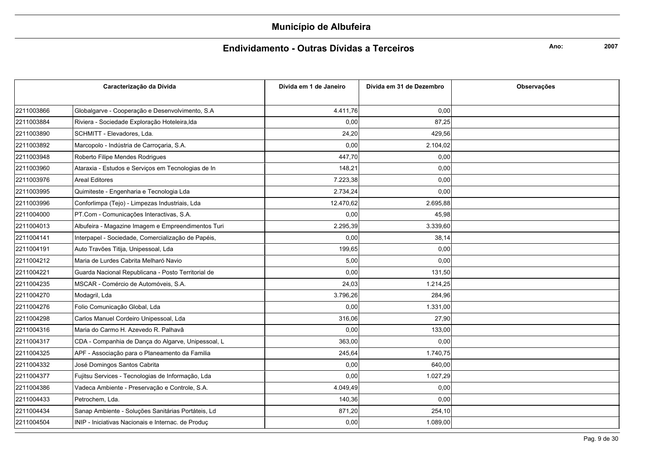### Endividamento - Outras Dívidas a Terceiros

Ano:

|            | Caracterização da Dívida                           | Dívida em 1 de Janeiro | Dívida em 31 de Dezembro | <b>Observações</b> |
|------------|----------------------------------------------------|------------------------|--------------------------|--------------------|
|            |                                                    |                        |                          |                    |
| 2211003866 | Globalgarve - Cooperação e Desenvolvimento, S.A    | 4.411,76               | 0,00                     |                    |
| 2211003884 | Riviera - Sociedade Exploração Hoteleira, Ida      | 0,00                   | 87,25                    |                    |
| 2211003890 | SCHMITT - Elevadores, Lda.                         | 24,20                  | 429,56                   |                    |
| 2211003892 | Marcopolo - Indústria de Carroçaria, S.A.          | 0,00                   | 2.104,02                 |                    |
| 2211003948 | Roberto Filipe Mendes Rodrigues                    | 447,70                 | 0,00                     |                    |
| 2211003960 | Ataraxia - Estudos e Serviços em Tecnologias de In | 148,21                 | 0,00                     |                    |
| 2211003976 | <b>Areal Editores</b>                              | 7.223,38               | 0,00                     |                    |
| 2211003995 | Quimiteste - Engenharia e Tecnologia Lda           | 2.734,24               | 0,00                     |                    |
| 2211003996 | Conforlimpa (Tejo) - Limpezas Industriais, Lda     | 12.470,62              | 2.695,88                 |                    |
| 2211004000 | PT.Com - Comunicações Interactivas, S.A.           | 0,00                   | 45,98                    |                    |
| 2211004013 | Albufeira - Magazine Imagem e Empreendimentos Turi | 2.295,39               | 3.339.60                 |                    |
| 2211004141 | Interpapel - Sociedade, Comercialização de Papéis, | 0,00                   | 38,14                    |                    |
| 2211004191 | Auto Travões Titija, Unipessoal, Lda               | 199,65                 | 0,00                     |                    |
| 2211004212 | Maria de Lurdes Cabrita Melharó Navio              | 5,00                   | 0,00                     |                    |
| 2211004221 | Guarda Nacional Republicana - Posto Territorial de | 0,00                   | 131,50                   |                    |
| 2211004235 | MSCAR - Comércio de Automóveis, S.A.               | 24,03                  | 1.214,25                 |                    |
| 2211004270 | Modagril, Lda                                      | 3.796,26               | 284,96                   |                    |
| 2211004276 | Folio Comunicação Global, Lda                      | 0,00                   | 1.331,00                 |                    |
| 2211004298 | Carlos Manuel Cordeiro Unipessoal, Lda             | 316,06                 | 27,90                    |                    |
| 2211004316 | Maria do Carmo H. Azevedo R. Palhavâ               | 0,00                   | 133,00                   |                    |
| 2211004317 | CDA - Companhia de Dança do Algarve, Unipessoal, L | 363,00                 | 0,00                     |                    |
| 2211004325 | APF - Associação para o Planeamento da Familia     | 245,64                 | 1.740,75                 |                    |
| 2211004332 | José Domingos Santos Cabrita                       | 0,00                   | 640,00                   |                    |
| 2211004377 | Fujitsu Services - Tecnologias de Informação, Lda  | 0,00                   | 1.027,29                 |                    |
| 2211004386 | Vadeca Ambiente - Preservação e Controle, S.A.     | 4.049,49               | 0,00                     |                    |
| 2211004433 | Petrochem, Lda.                                    | 140,36                 | 0,00                     |                    |
| 2211004434 | Sanap Ambiente - Soluções Sanitárias Portáteis, Ld | 871,20                 | 254,10                   |                    |
| 2211004504 | INIP - Iniciativas Nacionais e Internac. de Produç | 0,00                   | 1.089,00                 |                    |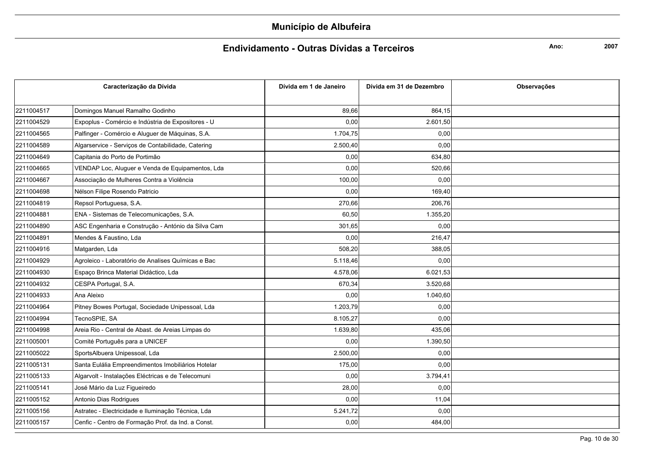### Endividamento - Outras Dívidas a Terceiros

Ano:

|            | Caracterização da Dívida                           | Dívida em 1 de Janeiro | Dívida em 31 de Dezembro | Observações |
|------------|----------------------------------------------------|------------------------|--------------------------|-------------|
|            |                                                    |                        |                          |             |
| 2211004517 | Domingos Manuel Ramalho Godinho                    | 89,66                  | 864,15                   |             |
| 2211004529 | Expoplus - Comércio e Indústria de Expositores - U | 0,00                   | 2.601,50                 |             |
| 2211004565 | Palfinger - Comércio e Aluguer de Máquinas, S.A.   | 1.704,75               | 0,00                     |             |
| 2211004589 | Algarservice - Serviços de Contabilidade, Catering | 2.500,40               | 0,00                     |             |
| 2211004649 | Capitania do Porto de Portimão                     | 0,00                   | 634,80                   |             |
| 2211004665 | VENDAP Loc, Aluguer e Venda de Equipamentos, Lda   | 0,00                   | 520,66                   |             |
| 2211004667 | Associação de Mulheres Contra a Violência          | 100,00                 | 0,00                     |             |
| 2211004698 | Nélson Filipe Rosendo Patricio                     | 0,00                   | 169,40                   |             |
| 2211004819 | Repsol Portuguesa, S.A.                            | 270,66                 | 206,76                   |             |
| 2211004881 | ENA - Sistemas de Telecomunicações, S.A.           | 60,50                  | 1.355,20                 |             |
| 2211004890 | ASC Engenharia e Construção - António da Silva Cam | 301,65                 | 0,00                     |             |
| 2211004891 | Mendes & Faustino, Lda                             | 0,00                   | 216,47                   |             |
| 2211004916 | Matgarden, Lda                                     | 508,20                 | 388,05                   |             |
| 2211004929 | Agroleico - Laboratório de Analises Químicas e Bac | 5.118,46               | 0,00                     |             |
| 2211004930 | Espaço Brinca Material Didáctico, Lda              | 4.578,06               | 6.021,53                 |             |
| 2211004932 | CESPA Portugal, S.A.                               | 670,34                 | 3.520,68                 |             |
| 2211004933 | Ana Aleixo                                         | 0,00                   | 1.040,60                 |             |
| 2211004964 | Pitney Bowes Portugal, Sociedade Unipessoal, Lda   | 1.203,79               | 0,00                     |             |
| 2211004994 | TecnoSPIE, SA                                      | 8.105,27               | 0,00                     |             |
| 2211004998 | Areia Rio - Central de Abast. de Areias Limpas do  | 1.639,80               | 435,06                   |             |
| 2211005001 | Comité Português para a UNICEF                     | 0,00                   | 1.390,50                 |             |
| 2211005022 | SportsAlbuera Unipessoal, Lda                      | 2.500,00               | 0,00                     |             |
| 2211005131 | Santa Eulália Empreendimentos Imobiliários Hotelar | 175,00                 | 0,00                     |             |
| 2211005133 | Algarvolt - Instalações Eléctricas e de Telecomuni | 0,00                   | 3.794,41                 |             |
| 2211005141 | José Mário da Luz Figueiredo                       | 28,00                  | 0,00                     |             |
| 2211005152 | Antonio Dias Rodrigues                             | 0,00                   | 11,04                    |             |
| 2211005156 | Astratec - Electricidade e Iluminação Técnica, Lda | 5.241,72               | 0,00                     |             |
| 2211005157 | Cenfic - Centro de Formação Prof. da Ind. a Const. | 0,00                   | 484,00                   |             |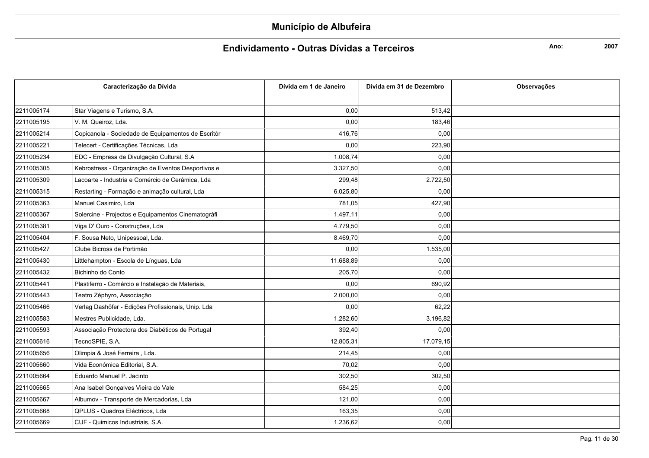### Endividamento - Outras Dívidas a Terceiros

Ano:

| Caracterização da Dívida |                                                    | Dívida em 1 de Janeiro | Dívida em 31 de Dezembro | <b>Observações</b> |
|--------------------------|----------------------------------------------------|------------------------|--------------------------|--------------------|
|                          |                                                    |                        |                          |                    |
| 2211005174               | Star Viagens e Turismo, S.A.                       | 0,00                   | 513,42                   |                    |
| 2211005195               | V. M. Queiroz, Lda.                                | 0,00                   | 183,46                   |                    |
| 2211005214               | Copicanola - Sociedade de Equipamentos de Escritór | 416,76                 | 0,00                     |                    |
| 2211005221               | Telecert - Certificações Técnicas, Lda             | 0,00                   | 223,90                   |                    |
| 2211005234               | EDC - Empresa de Divulgação Cultural, S.A          | 1.008,74               | 0,00                     |                    |
| 2211005305               | Kebrostress - Organização de Eventos Desportivos e | 3.327,50               | 0,00                     |                    |
| 2211005309               | Lacoarte - Industria e Comércio de Cerâmica, Lda   | 299,48                 | 2.722,50                 |                    |
| 2211005315               | Restarting - Formação e animação cultural, Lda     | 6.025,80               | 0,00                     |                    |
| 2211005363               | Manuel Casimiro, Lda                               | 781,05                 | 427,90                   |                    |
| 2211005367               | Solercine - Projectos e Equipamentos Cinematográfi | 1.497,11               | 0,00                     |                    |
| 2211005381               | Viga D' Ouro - Construções, Lda                    | 4.779,50               | 0,00                     |                    |
| 2211005404               | F. Sousa Neto, Unipessoal, Lda.                    | 8.469,70               | 0,00                     |                    |
| 2211005427               | Clube Bicross de Portimão                          | 0,00                   | 1.535,00                 |                    |
| 2211005430               | Littlehampton - Escola de Línguas, Lda             | 11.688,89              | 0,00                     |                    |
| 2211005432               | Bichinho do Conto                                  | 205,70                 | 0,00                     |                    |
| 2211005441               | Plastiferro - Comércio e Instalação de Materiais,  | 0,00                   | 690,92                   |                    |
| 2211005443               | Teatro Zéphyro, Associação                         | 2.000,00               | 0,00                     |                    |
| 2211005466               | Verlag Dashöfer - Edições Profissionais, Unip. Lda | 0,00                   | 62,22                    |                    |
| 2211005583               | Mestres Publicidade, Lda.                          | 1.282,60               | 3.196,82                 |                    |
| 2211005593               | Associação Protectora dos Diabéticos de Portugal   | 392,40                 | 0,00                     |                    |
| 2211005616               | TecnoSPIE, S.A.                                    | 12.805,31              | 17.079,15                |                    |
| 2211005656               | Olimpia & José Ferreira, Lda.                      | 214,45                 | 0,00                     |                    |
| 2211005660               | Vida Económica Editorial, S.A.                     | 70,02                  | 0,00                     |                    |
| 2211005664               | Eduardo Manuel P. Jacinto                          | 302,50                 | 302,50                   |                    |
| 2211005665               | Ana Isabel Gonçalves Vieira do Vale                | 584,25                 | 0,00                     |                    |
| 2211005667               | Albumov - Transporte de Mercadorias, Lda           | 121,00                 | 0,00                     |                    |
| 2211005668               | QPLUS - Quadros Eléctricos, Lda                    | 163,35                 | 0,00                     |                    |
| 2211005669               | CUF - Quimicos Industriais, S.A.                   | 1.236,62               | 0,00                     |                    |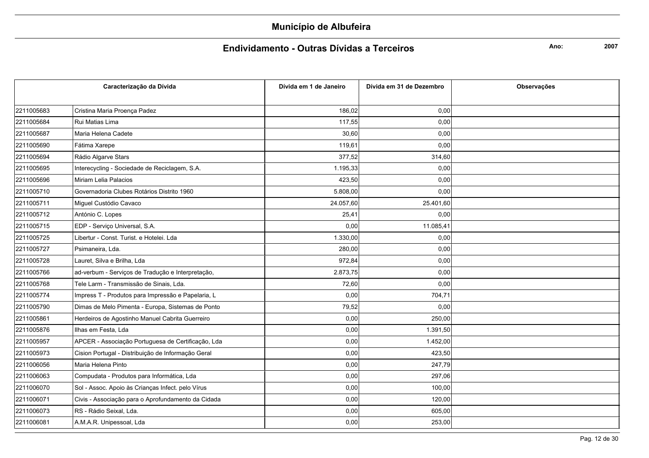#### Endividamento - Outras Dívidas a Terceiros

Ano:

|            | Caracterização da Dívida                           | Dívida em 1 de Janeiro | Dívida em 31 de Dezembro | <b>Observações</b> |
|------------|----------------------------------------------------|------------------------|--------------------------|--------------------|
|            |                                                    |                        |                          |                    |
| 2211005683 | Cristina Maria Proença Padez                       | 186,02                 | 0,00                     |                    |
| 2211005684 | Rui Matias Lima                                    | 117,55                 | 0,00                     |                    |
| 2211005687 | Maria Helena Cadete                                | 30,60                  | 0,00                     |                    |
| 2211005690 | Fátima Xarepe                                      | 119,61                 | 0,00                     |                    |
| 2211005694 | Rádio Algarve Stars                                | 377,52                 | 314,60                   |                    |
| 2211005695 | Interecycling - Sociedade de Reciclagem, S.A.      | 1.195,33               | 0,00                     |                    |
| 2211005696 | Miriam Lelia Palacios                              | 423,50                 | 0,00                     |                    |
| 2211005710 | Governadoria Clubes Rotários Distrito 1960         | 5.808,00               | 0,00                     |                    |
| 2211005711 | Miguel Custódio Cavaco                             | 24.057,60              | 25.401,60                |                    |
| 2211005712 | António C. Lopes                                   | 25,41                  | 0,00                     |                    |
| 2211005715 | EDP - Serviço Universal, S.A.                      | 0,00                   | 11.085,41                |                    |
| 2211005725 | Libertur - Const. Turist. e Hotelei. Lda           | 1.330,00               | 0,00                     |                    |
| 2211005727 | Psimaneira, Lda.                                   | 280,00                 | 0,00                     |                    |
| 2211005728 | Lauret, Silva e Brilha, Lda                        | 972,84                 | 0,00                     |                    |
| 2211005766 | ad-verbum - Serviços de Tradução e Interpretação,  | 2.873,75               | 0,00                     |                    |
| 2211005768 | Tele Larm - Transmissão de Sinais, Lda.            | 72,60                  | 0,00                     |                    |
| 2211005774 | Impress T - Produtos para Impressão e Papelaria, L | 0,00                   | 704,71                   |                    |
| 2211005790 | Dimas de Melo Pimenta - Europa, Sistemas de Ponto  | 79,52                  | 0,00                     |                    |
| 2211005861 | Herdeiros de Agostinho Manuel Cabrita Guerreiro    | 0,00                   | 250,00                   |                    |
| 2211005876 | Ilhas em Festa. Lda                                | 0,00                   | 1.391,50                 |                    |
| 2211005957 | APCER - Associação Portuguesa de Certificação, Lda | 0,00                   | 1.452,00                 |                    |
| 2211005973 | Cision Portugal - Distribuição de Informação Geral | 0,00                   | 423,50                   |                    |
| 2211006056 | Maria Helena Pinto                                 | 0,00                   | 247,79                   |                    |
| 2211006063 | Compudata - Produtos para Informática, Lda         | 0,00                   | 297,06                   |                    |
| 2211006070 | Sol - Assoc. Apoio às Crianças Infect. pelo Vírus  | 0,00                   | 100,00                   |                    |
| 2211006071 | Civis - Associação para o Aprofundamento da Cidada | 0,00                   | 120,00                   |                    |
| 2211006073 | RS - Rádio Seixal, Lda.                            | 0,00                   | 605,00                   |                    |
| 2211006081 | A.M.A.R. Unipessoal, Lda                           | 0,00                   | 253,00                   |                    |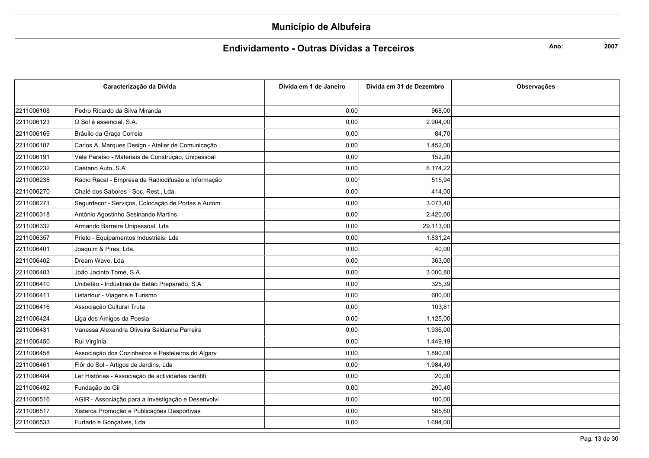#### Endividamento - Outras Dívidas a Terceiros

Ano:

|            | Caracterização da Dívida                           | Dívida em 1 de Janeiro | Dívida em 31 de Dezembro | <b>Observações</b> |
|------------|----------------------------------------------------|------------------------|--------------------------|--------------------|
|            |                                                    |                        |                          |                    |
| 2211006108 | Pedro Ricardo da Silva Miranda                     | 0,00                   | 968,00                   |                    |
| 2211006123 | O Sol é essencial, S.A.                            | 0,00                   | 2.904,00                 |                    |
| 2211006169 | Bráulio da Graça Correia                           | 0,00                   | 84,70                    |                    |
| 2211006187 | Carlos A. Marques Design - Atelier de Comunicação  | 0,00                   | 1.452,00                 |                    |
| 2211006191 | Vale Paraíso - Materiais de Construção, Unipessoal | 0,00                   | 152,20                   |                    |
| 2211006232 | Caetano Auto, S.A.                                 | 0,00                   | 6.174,22                 |                    |
| 2211006238 | Rádio Racal - Empresa de Radiodifusão e Informação | 0,00                   | 515,94                   |                    |
| 2211006270 | Chalé dos Sabores - Soc. Rest., Lda.               | 0,00                   | 414,00                   |                    |
| 2211006271 | Segurdecor - Serviços, Colocação de Portas e Autom | 0,00                   | 3.073,40                 |                    |
| 2211006318 | António Agostinho Sesinando Martins                | 0,00                   | 2.420,00                 |                    |
| 2211006332 | Armando Barreira Unipessoal, Lda                   | 0,00                   | 29.113,00                |                    |
| 2211006357 | Prieto - Equipamentos Industriais, Lda             | 0,00                   | 1.831,24                 |                    |
| 2211006401 | Joaquim & Pires, Lda.                              | 0,00                   | 40,00                    |                    |
| 2211006402 | Dream Wave, Lda                                    | 0,00                   | 363,00                   |                    |
| 2211006403 | João Jacinto Tomé, S.A.                            | 0,00                   | 3.000,80                 |                    |
| 2211006410 | Unibetão - Indústiras de Betão Preparado, S.A.     | 0,00                   | 325,39                   |                    |
| 2211006411 | Listartour - Viagens e Turismo                     | 0,00                   | 600,00                   |                    |
| 2211006416 | Associação Cultural Truta                          | 0,00                   | 103,81                   |                    |
| 2211006424 | Liga dos Amigos da Poesia                          | 0,00                   | 1.125,00                 |                    |
| 2211006431 | Vanessa Alexandra Oliveira Saldanha Parreira       | 0,00                   | 1.936,00                 |                    |
| 2211006450 | Rui Virgínia                                       | 0,00                   | 1.449,19                 |                    |
| 2211006458 | Associação dos Cozinheiros e Pasteleiros do Algarv | 0,00                   | 1.890,00                 |                    |
| 2211006461 | Flôr do Sol - Artigos de Jardins, Lda              | 0,00                   | 1.984,49                 |                    |
| 2211006484 | Ler Histórias - Associação de actividades cientifi | 0,00                   | 20,00                    |                    |
| 2211006492 | Fundação do Gil                                    | 0,00                   | 290,40                   |                    |
| 2211006516 | AGIR - Associação para a Investigação e Desenvolvi | 0,00                   | 100,00                   |                    |
| 2211006517 | Xistarca Promoção e Publicações Desportivas        | 0,00                   | 585,60                   |                    |
| 2211006533 | Furtado e Gonçalves, Lda                           | 0,00                   | 1.694,00                 |                    |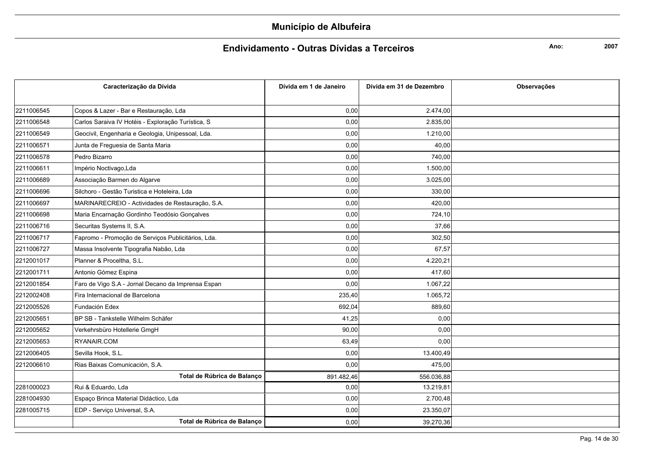### Endividamento - Outras Dívidas a Terceiros

Ano:

|            | Caracterização da Dívida                           | Dívida em 1 de Janeiro | Dívida em 31 de Dezembro | Observações |
|------------|----------------------------------------------------|------------------------|--------------------------|-------------|
| 2211006545 | Copos & Lazer - Bar e Restauração, Lda             | 0,00                   | 2.474,00                 |             |
| 2211006548 | Carlos Saraiva IV Hotéis - Exploração Turística, S | 0,00                   | 2.835,00                 |             |
| 2211006549 | Geocivil, Engenharia e Geologia, Unipessoal, Lda.  | 0,00                   | 1.210,00                 |             |
|            |                                                    |                        |                          |             |
| 2211006571 | Junta de Freguesia de Santa Maria                  | 0,00                   | 40,00                    |             |
| 2211006578 | Pedro Bizarro                                      | 0,00                   | 740,00                   |             |
| 2211006611 | Império Noctivago, Lda                             | 0,00                   | 1.500,00                 |             |
| 2211006689 | Associação Barmen do Algarve                       | 0,00                   | 3.025,00                 |             |
| 2211006696 | Silchoro - Gestão Turistica e Hoteleira, Lda       | 0,00                   | 330,00                   |             |
| 2211006697 | MARINARECREIO - Actividades de Restauração, S.A.   | 0,00                   | 420,00                   |             |
| 2211006698 | Maria Encarnação Gordinho Teodósio Gonçalves       | 0,00                   | 724,10                   |             |
| 2211006716 | Securitas Systems II, S.A.                         | 0,00                   | 37,66                    |             |
| 2211006717 | Fapromo - Promoção de Serviços Publicitários, Lda. | 0,00                   | 302,50                   |             |
| 2211006727 | Massa Insolvente Tipografia Nabão, Lda             | 0,00                   | 67,57                    |             |
| 2212001017 | Planner & Proceltha, S.L.                          | 0,00                   | 4.220,21                 |             |
| 2212001711 | Antonio Gómez Espina                               | 0,00                   | 417,60                   |             |
| 2212001854 | Faro de Vigo S.A - Jornal Decano da Imprensa Espan | 0,00                   | 1.067,22                 |             |
| 2212002408 | Fira Internacional de Barcelona                    | 235,40                 | 1.065,72                 |             |
| 2212005526 | Fundación Edex                                     | 692,04                 | 889,60                   |             |
| 2212005651 | BP SB - Tankstelle Wilhelm Schäfer                 | 41,25                  | 0,00                     |             |
| 2212005652 | Verkehrsbüro Hotellerie GmgH                       | 90,00                  | 0,00                     |             |
| 2212005653 | RYANAIR.COM                                        | 63,49                  | 0,00                     |             |
| 2212006405 | Sevilla Hook, S.L.                                 | 0,00                   | 13.400,49                |             |
| 2212006610 | Rias Baixas Comunicación, S.A.                     | 0,00                   | 475,00                   |             |
|            | Total de Rúbrica de Balanço                        | 891.482,46             | 556.036,88               |             |
| 2281000023 | Rui & Eduardo, Lda                                 | 0,00                   | 13.219,81                |             |
| 2281004930 | Espaço Brinca Material Didáctico, Lda              | 0,00                   | 2.700,48                 |             |
| 2281005715 | EDP - Serviço Universal, S.A.                      | 0,00                   | 23.350,07                |             |
|            | Total de Rúbrica de Balanço                        | 0,00                   | 39.270,36                |             |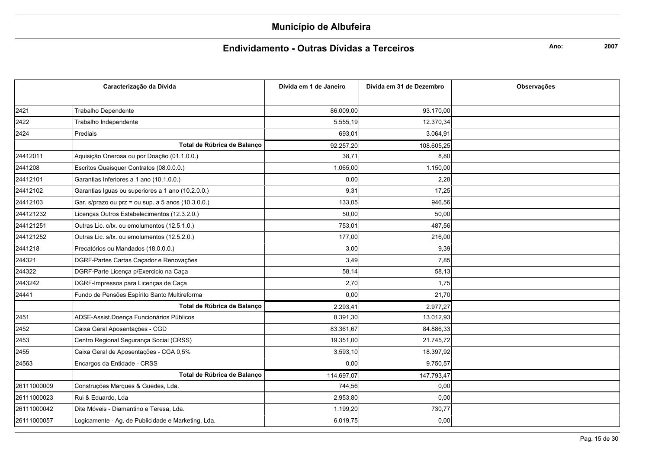### Endividamento - Outras Dívidas a Terceiros

Ano:

| Caracterização da Dívida |                                                    | Dívida em 1 de Janeiro | Dívida em 31 de Dezembro | Observações |
|--------------------------|----------------------------------------------------|------------------------|--------------------------|-------------|
|                          |                                                    |                        |                          |             |
| 2421                     | <b>Trabalho Dependente</b>                         | 86.009,00              | 93.170,00                |             |
| 2422                     | Trabalho Independente                              | 5.555,19               | 12.370,34                |             |
| 2424                     | Prediais                                           | 693,01                 | 3.064,91                 |             |
|                          | Total de Rúbrica de Balanco                        | 92.257,20              | 108.605,25               |             |
| 24412011                 | Aquisição Onerosa ou por Doação (01.1.0.0.)        | 38,71                  | 8,80                     |             |
| 2441208                  | Escritos Quaisquer Contratos (08.0.0.0.)           | 1.065,00               | 1.150,00                 |             |
| 24412101                 | Garantias Inferiores a 1 ano (10.1.0.0.)           | 0,00                   | 2,28                     |             |
| 24412102                 | Garantias Iguas ou superiores a 1 ano (10.2.0.0.)  | 9,31                   | 17.25                    |             |
| 24412103                 | Gar. s/prazo ou prz = ou sup. a 5 anos (10.3.0.0.) | 133,05                 | 946,56                   |             |
| 244121232                | Licenças Outros Estabelecimentos (12.3.2.0.)       | 50,00                  | 50,00                    |             |
| 244121251                | Outras Lic. c/tx. ou emolumentos (12.5.1.0.)       | 753,01                 | 487,56                   |             |
| 244121252                | Outras Lic. s/tx. ou emolumentos (12.5.2.0.)       | 177,00                 | 216,00                   |             |
| 2441218                  | Precatórios ou Mandados (18.0.0.0.)                | 3,00                   | 9,39                     |             |
| 244321                   | DGRF-Partes Cartas Caçador e Renovações            | 3,49                   | 7,85                     |             |
| 244322                   | DGRF-Parte Licença p/Exercicio na Caça             | 58,14                  | 58,13                    |             |
| 2443242                  | DGRF-Impressos para Licenças de Caça               | 2,70                   | 1,75                     |             |
| 24441                    | Fundo de Pensões Espírito Santo Multireforma       | 0,00                   | 21,70                    |             |
|                          | Total de Rúbrica de Balanço                        | 2.293,41               | 2.977,27                 |             |
| 2451                     | ADSE-Assist.Doença Funcionários Públicos           | 8.391,30               | 13.012,93                |             |
| 2452                     | Caixa Geral Aposentações - CGD                     | 83.361,67              | 84.886,33                |             |
| 2453                     | Centro Regional Segurança Social (CRSS)            | 19.351,00              | 21.745,72                |             |
| 2455                     | Caixa Geral de Aposentações - CGA 0,5%             | 3.593,10               | 18.397,92                |             |
| 24563                    | Encargos da Entidade - CRSS                        | 0,00                   | 9.750,57                 |             |
|                          | Total de Rúbrica de Balanco                        | 114.697,07             | 147.793,47               |             |
| 26111000009              | Construções Marques & Guedes, Lda.                 | 744,56                 | 0,00                     |             |
| 26111000023              | Rui & Eduardo, Lda                                 | 2.953,80               | 0,00                     |             |
| 26111000042              | Dite Móveis - Diamantino e Teresa, Lda.            | 1.199,20               | 730,77                   |             |
| 26111000057              | Logicamente - Ag. de Publicidade e Marketing, Lda. | 6.019,75               | 0,00                     |             |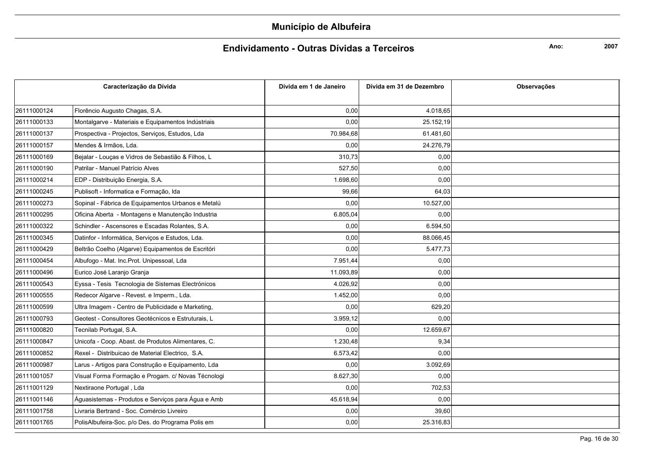### Endividamento - Outras Dívidas a Terceiros

Ano:

| Caracterização da Dívida |                                                    | Dívida em 1 de Janeiro | Dívida em 31 de Dezembro | <b>Observacões</b> |
|--------------------------|----------------------------------------------------|------------------------|--------------------------|--------------------|
|                          |                                                    |                        |                          |                    |
| 26111000124              | Florêncio Augusto Chagas, S.A.                     | 0,00                   | 4.018,65                 |                    |
| 26111000133              | Montalgarve - Materiais e Equipamentos Indústriais | 0,00                   | 25.152,19                |                    |
| 26111000137              | Prospectiva - Projectos, Serviços, Estudos, Lda    | 70.984,68              | 61.481,60                |                    |
| 26111000157              | Mendes & Irmãos, Lda.                              | 0,00                   | 24.276,79                |                    |
| 26111000169              | Bejalar - Louças e Vidros de Sebastião & Filhos, L | 310,73                 | 0,00                     |                    |
| 26111000190              | Patrilar - Manuel Patrício Alves                   | 527,50                 | 0,00                     |                    |
| 26111000214              | EDP - Distribuição Energia, S.A.                   | 1.698,60               | 0,00                     |                    |
| 26111000245              | Publisoft - Informatica e Formação, Ida            | 99,66                  | 64,03                    |                    |
| 26111000273              | Sopinal - Fábrica de Equipamentos Urbanos e Metalú | 0,00                   | 10.527,00                |                    |
| 26111000295              | Oficina Aberta - Montagens e Manutenção Industria  | 6.805,04               | 0,00                     |                    |
| 26111000322              | Schindler - Ascensores e Escadas Rolantes, S.A.    | 0,00                   | 6.594,50                 |                    |
| 26111000345              | Datinfor - Informática, Serviços e Estudos, Lda.   | 0,00                   | 88.066,45                |                    |
| 26111000429              | Beltrão Coelho (Algarve) Equipamentos de Escritóri | 0,00                   | 5.477,73                 |                    |
| 26111000454              | Albufogo - Mat. Inc. Prot. Unipessoal, Lda         | 7.951,44               | 0,00                     |                    |
| 26111000496              | Eurico José Laranjo Granja                         | 11.093,89              | 0,00                     |                    |
| 26111000543              | Eyssa - Tesis Tecnologia de Sistemas Electrónicos  | 4.026,92               | 0,00                     |                    |
| 26111000555              | Redecor Algarve - Revest. e Imperm., Lda.          | 1.452,00               | 0,00                     |                    |
| 26111000599              | Ultra Imagem - Centro de Publicidade e Marketing,  | 0,00                   | 629,20                   |                    |
| 26111000793              | Geotest - Consultores Geotécnicos e Estruturais, L | 3.959,12               | 0,00                     |                    |
| 26111000820              | Tecnilab Portugal, S.A.                            | 0,00                   | 12.659,67                |                    |
| 26111000847              | Unicofa - Coop. Abast. de Produtos Alimentares, C. | 1.230,48               | 9,34                     |                    |
| 26111000852              | Rexel - Distribuicao de Material Electrico, S.A.   | 6.573,42               | 0,00                     |                    |
| 26111000987              | Larus - Artigos para Construção e Equipamento, Lda | 0,00                   | 3.092,69                 |                    |
| 26111001057              | Visual Forma Formação e Progam. c/ Novas Técnologi | 8.627,30               | 0,00                     |                    |
| 26111001129              | Nextiraone Portugal, Lda                           | 0,00                   | 702,53                   |                    |
| 26111001146              | Águasistemas - Produtos e Serviços para Água e Amb | 45.618,94              | 0,00                     |                    |
| 26111001758              | Livraria Bertrand - Soc. Comércio Livreiro         | 0,00                   | 39,60                    |                    |
| 26111001765              | PolisAlbufeira-Soc. p/o Des. do Programa Polis em  | 0,00                   | 25.316,83                |                    |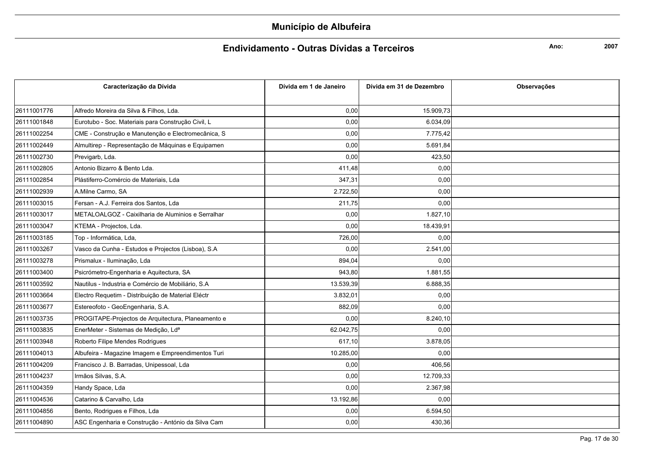### Endividamento - Outras Dívidas a Terceiros

Ano:

|             | Caracterização da Dívida                           | Dívida em 1 de Janeiro | Dívida em 31 de Dezembro | <b>Observacões</b> |
|-------------|----------------------------------------------------|------------------------|--------------------------|--------------------|
|             |                                                    |                        |                          |                    |
| 26111001776 | Alfredo Moreira da Silva & Filhos, Lda.            | 0,00                   | 15.909,73                |                    |
| 26111001848 | Eurotubo - Soc. Materiais para Construção Civil, L | 0,00                   | 6.034,09                 |                    |
| 26111002254 | CME - Construção e Manutenção e Electromecânica, S | 0,00                   | 7.775,42                 |                    |
| 26111002449 | Almultirep - Representação de Máquinas e Equipamen | 0,00                   | 5.691,84                 |                    |
| 26111002730 | Previgarb, Lda.                                    | 0,00                   | 423,50                   |                    |
| 26111002805 | Antonio Bizarro & Bento Lda.                       | 411,48                 | 0,00                     |                    |
| 26111002854 | Plástiferro-Comércio de Materiais, Lda             | 347,31                 | 0,00                     |                    |
| 26111002939 | A.Milne Carmo, SA                                  | 2.722,50               | 0,00                     |                    |
| 26111003015 | Fersan - A.J. Ferreira dos Santos, Lda             | 211,75                 | 0,00                     |                    |
| 26111003017 | METALOALGOZ - Caixilharia de Aluminios e Serralhar | 0,00                   | 1.827,10                 |                    |
| 26111003047 | KTEMA - Projectos, Lda.                            | 0,00                   | 18.439,91                |                    |
| 26111003185 | Top - Informática, Lda,                            | 726.00                 | 0.00                     |                    |
| 26111003267 | Vasco da Cunha - Estudos e Projectos (Lisboa), S.A | 0,00                   | 2.541,00                 |                    |
| 26111003278 | Prismalux - Iluminação, Lda                        | 894,04                 | 0,00                     |                    |
| 26111003400 | Psicrómetro-Engenharia e Aquitectura, SA           | 943,80                 | 1.881,55                 |                    |
| 26111003592 | Nautilus - Industria e Comércio de Mobiliário, S.A | 13.539,39              | 6.888,35                 |                    |
| 26111003664 | Electro Requetim - Distribuição de Material Eléctr | 3.832,01               | 0,00                     |                    |
| 26111003677 | Estereofoto - GeoEngenharia, S.A.                  | 882,09                 | 0.00                     |                    |
| 26111003735 | PROGITAPE-Projectos de Arquitectura, Planeamento e | 0,00                   | 8.240,10                 |                    |
| 26111003835 | EnerMeter - Sistemas de Medição, Lda               | 62.042,75              | 0,00                     |                    |
| 26111003948 | Roberto Filipe Mendes Rodrigues                    | 617,10                 | 3.878,05                 |                    |
| 26111004013 | Albufeira - Magazine Imagem e Empreendimentos Turi | 10.285,00              | 0,00                     |                    |
| 26111004209 | Francisco J. B. Barradas, Unipessoal, Lda          | 0,00                   | 406,56                   |                    |
| 26111004237 | Irmãos Silvas, S.A.                                | 0,00                   | 12.709,33                |                    |
| 26111004359 | Handy Space, Lda                                   | 0,00                   | 2.367,98                 |                    |
| 26111004536 | Catarino & Carvalho, Lda                           | 13.192,86              | 0,00                     |                    |
| 26111004856 | Bento, Rodrigues e Filhos, Lda                     | 0,00                   | 6.594,50                 |                    |
| 26111004890 | ASC Engenharia e Construção - António da Silva Cam | 0,00                   | 430,36                   |                    |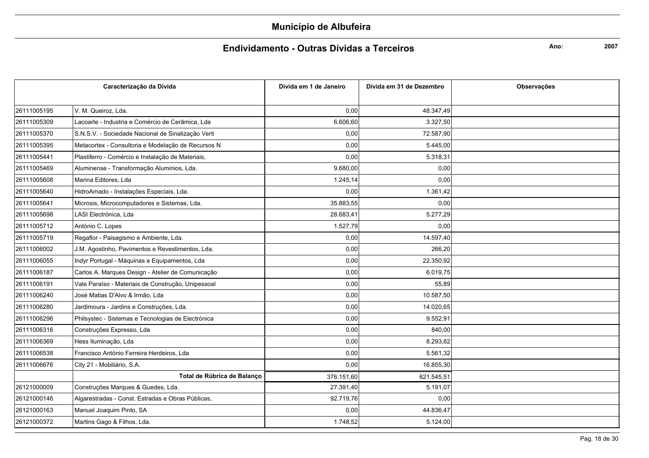### Endividamento - Outras Dívidas a Terceiros

Ano:

|             | Caracterização da Dívida                           | Dívida em 1 de Janeiro | Dívida em 31 de Dezembro | <b>Observações</b> |
|-------------|----------------------------------------------------|------------------------|--------------------------|--------------------|
|             |                                                    |                        |                          |                    |
| 26111005195 | V. M. Queiroz, Lda.                                | 0,00                   | 48.347,49                |                    |
| 26111005309 | Lacoarte - Industria e Comércio de Cerâmica. Lda   | 6.606,60               | 3.327.50                 |                    |
| 26111005370 | S.N.S.V. - Sociedade Nacional de Sinalização Verti | 0,00                   | 72.587,90                |                    |
| 26111005395 | Metacortex - Consultoria e Modelação de Recursos N | 0,00                   | 5.445,00                 |                    |
| 26111005441 | Plastiferro - Comércio e Instalação de Materiais,  | 0,00                   | 5.318,31                 |                    |
| 26111005469 | Aluminense - Transformação Aluminios, Lda.         | 9.680,00               | 0,00                     |                    |
| 26111005608 | Marina Editores, Lda                               | 1.245,14               | 0,00                     |                    |
| 26111005640 | HidroAmado - Instalações Especiais, Lda.           | 0,00                   | 1.361,42                 |                    |
| 26111005641 | Microsis, Microcomputadores e Sistemas, Lda.       | 35.883,55              | 0,00                     |                    |
| 26111005698 | LASI Electrónica, Lda                              | 28.683,41              | 5.277,29                 |                    |
| 26111005712 | António C. Lopes                                   | 1.527,79               | 0,00                     |                    |
| 26111005719 | Regaflor - Paisagismo e Ambiente, Lda.             | 0,00                   | 14.597,40                |                    |
| 26111006002 | J.M. Agostinho, Pavimentos e Revestimentos, Lda.   | 0,00                   | 266,20                   |                    |
| 26111006055 | Indyr Portugal - Máquinas e Equipamentos, Lda      | 0,00                   | 22.350,92                |                    |
| 26111006187 | Carlos A. Marques Design - Atelier de Comunicação  | 0,00                   | 6.019,75                 |                    |
| 26111006191 | Vale Paraíso - Materiais de Construção, Unipessoal | 0,00                   | 55,89                    |                    |
| 26111006240 | José Matias D'Alvo & Irmão, Lda                    | 0,00                   | 10.587,50                |                    |
| 26111006280 | Jardimoura - Jardins e Construções, Lda.           | 0,00                   | 14.020,65                |                    |
| 26111006296 | Philsystec - Sistemas e Tecnologias de Electrónica | 0,00                   | 9.552,91                 |                    |
| 26111006316 | Construções Expresso, Lda                          | 0,00                   | 840,00                   |                    |
| 26111006369 | Hess Iluminação, Lda                               | 0,00                   | 8.293,82                 |                    |
| 26111006538 | Francisco António Ferreira Herdeiros, Lda          | 0,00                   | 5.561,32                 |                    |
| 26111006676 | City 21 - Mobiliário, S.A.                         | 0,00                   | 16.855,30                |                    |
|             | Total de Rúbrica de Balanço                        | 376.151,60             | 621.545,51               |                    |
| 26121000009 | Construções Marques & Guedes, Lda.                 | 27.391,40              | 5.191,07                 |                    |
| 26121000146 | Algarestradas - Const. Estradas e Obras Públicas,  | 92.719,76              | 0,00                     |                    |
| 26121000163 | Manuel Joaquim Pinto, SA                           | 0,00                   | 44.836,47                |                    |
| 26121000372 | Martins Gago & Filhos, Lda.                        | 1.748,52               | 5.124,00                 |                    |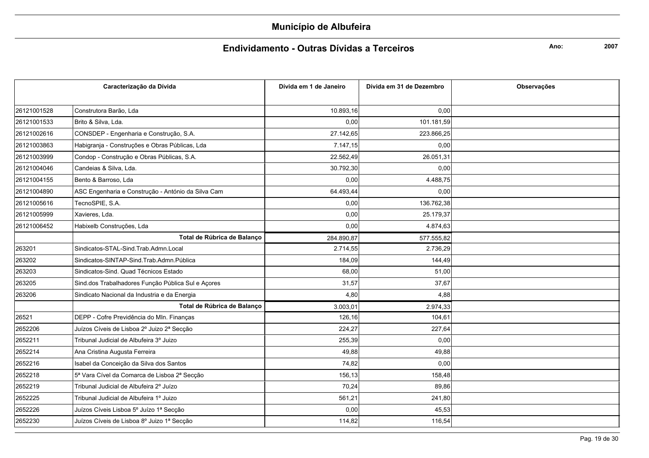### Endividamento - Outras Dívidas a Terceiros

Ano:

|             | Caracterização da Dívida                           | Dívida em 1 de Janeiro | Dívida em 31 de Dezembro | <b>Observações</b> |
|-------------|----------------------------------------------------|------------------------|--------------------------|--------------------|
|             |                                                    |                        |                          |                    |
| 26121001528 | Construtora Barão. Lda                             | 10.893.16              | 0.00                     |                    |
| 26121001533 | Brito & Silva, Lda.                                | 0.00                   | 101.181,59               |                    |
| 26121002616 | CONSDEP - Engenharia e Construção, S.A.            | 27.142,65              | 223.866,25               |                    |
| 26121003863 | Habigranja - Construções e Obras Públicas, Lda     | 7.147,15               | 0,00                     |                    |
| 26121003999 | Condop - Construção e Obras Públicas, S.A.         | 22.562,49              | 26.051,31                |                    |
| 26121004046 | Candeias & Silva. Lda.                             | 30.792,30              | 0,00                     |                    |
| 26121004155 | Bento & Barroso, Lda                               | 0,00                   | 4.488,75                 |                    |
| 26121004890 | ASC Engenharia e Construção - António da Silva Cam | 64.493,44              | 0,00                     |                    |
| 26121005616 | TecnoSPIE, S.A.                                    | 0,00                   | 136.762,38               |                    |
| 26121005999 | Xavieres, Lda.                                     | 0,00                   | 25.179,37                |                    |
| 26121006452 | Habixelb Construções, Lda                          | 0,00                   | 4.874,63                 |                    |
|             | Total de Rúbrica de Balanço                        | 284.890.87             | 577.555,82               |                    |
| 263201      | Sindicatos-STAL-Sind.Trab.Admn.Local               | 2.714,55               | 2.736,29                 |                    |
| 263202      | Sindicatos-SINTAP-Sind.Trab.Admn.Pública           | 184,09                 | 144,49                   |                    |
| 263203      | Sindicatos-Sind. Quad Técnicos Estado              | 68,00                  | 51,00                    |                    |
| 263205      | Sind.dos Trabalhadores Função Pública Sul e Açores | 31,57                  | 37,67                    |                    |
| 263206      | Sindicato Nacional da Industria e da Energia       | 4,80                   | 4,88                     |                    |
|             | Total de Rúbrica de Balanço                        | 3.003,01               | 2.974,33                 |                    |
| 26521       | DEPP - Cofre Previdência do MIn. Finanças          | 126,16                 | 104.61                   |                    |
| 2652206     | Juízos Cíveis de Lisboa 2º Juizo 2ª Secção         | 224,27                 | 227,64                   |                    |
| 2652211     | Tribunal Judicial de Albufeira 3º Juizo            | 255,39                 | 0,00                     |                    |
| 2652214     | Ana Cristina Augusta Ferreira                      | 49,88                  | 49,88                    |                    |
| 2652216     | Isabel da Conceição da Silva dos Santos            | 74,82                  | 0,00                     |                    |
| 2652218     | 5ª Vara Cível da Comarca de Lisboa 2ª Secção       | 156,13                 | 158,48                   |                    |
| 2652219     | Tribunal Judicial de Albufeira 2º Juízo            | 70,24                  | 89,86                    |                    |
| 2652225     | Tribunal Judicial de Albufeira 1º Juizo            | 561,21                 | 241,80                   |                    |
| 2652226     | Juízos Cíveis Lisboa 5º Juízo 1ª Secção            | 0.00                   | 45,53                    |                    |
| 2652230     | Juízos Cíveis de Lisboa 8º Juizo 1ª Secção         | 114,82                 | 116,54                   |                    |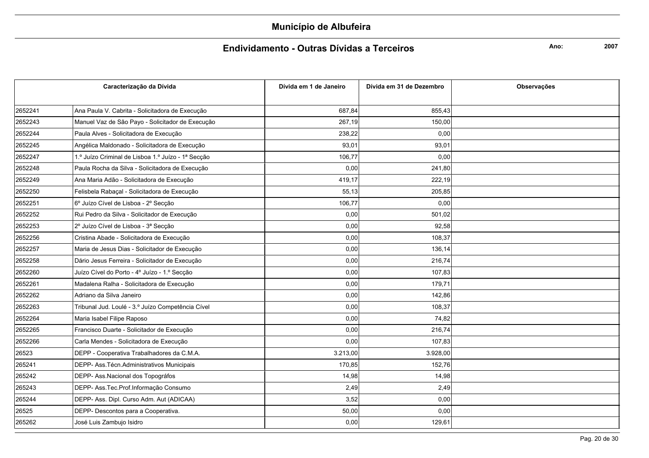### Endividamento - Outras Dívidas a Terceiros

Ano:

| Caracterização da Dívida |                                                    | Dívida em 1 de Janeiro | Dívida em 31 de Dezembro | Observações |
|--------------------------|----------------------------------------------------|------------------------|--------------------------|-------------|
|                          |                                                    |                        |                          |             |
| 2652241                  | Ana Paula V. Cabrita - Solicitadora de Execução    | 687,84                 | 855,43                   |             |
| 2652243                  | Manuel Vaz de São Payo - Solicitador de Execução   | 267,19                 | 150,00                   |             |
| 2652244                  | Paula Alves - Solicitadora de Execução             | 238,22                 | 0,00                     |             |
| 2652245                  | Angélica Maldonado - Solicitadora de Execução      | 93,01                  | 93,01                    |             |
| 2652247                  | 1.º Juízo Criminal de Lisboa 1.º Juízo - 1ª Secção | 106,77                 | 0,00                     |             |
| 2652248                  | Paula Rocha da Silva - Solicitadora de Execução    | 0,00                   | 241,80                   |             |
| 2652249                  | Ana Maria Adão - Solicitadora de Execução          | 419,17                 | 222,19                   |             |
| 2652250                  | Felisbela Rabaçal - Solicitadora de Execução       | 55,13                  | 205,85                   |             |
| 2652251                  | 6º Juízo Cível de Lisboa - 2º Secção               | 106,77                 | 0,00                     |             |
| 2652252                  | Rui Pedro da Silva - Solicitador de Execução       | 0,00                   | 501,02                   |             |
| 2652253                  | 2º Juízo Cível de Lisboa - 3ª Secção               | 0,00                   | 92,58                    |             |
| 2652256                  | Cristina Abade - Solicitadora de Execução          | 0,00                   | 108.37                   |             |
| 2652257                  | Maria de Jesus Dias - Solicitador de Execução      | 0,00                   | 136.14                   |             |
| 2652258                  | Dário Jesus Ferreira - Solicitador de Execução     | 0,00                   | 216,74                   |             |
| 2652260                  | Juízo Cível do Porto - 4º Juízo - 1.º Secção       | 0,00                   | 107,83                   |             |
| 2652261                  | Madalena Ralha - Solicitadora de Execução          | 0,00                   | 179,71                   |             |
| 2652262                  | Adriano da Silva Janeiro                           | 0,00                   | 142,86                   |             |
| 2652263                  | Tribunal Jud. Loulé - 3.º Juízo Competência Cível  | 0,00                   | 108.37                   |             |
| 2652264                  | Maria Isabel Filipe Raposo                         | 0,00                   | 74,82                    |             |
| 2652265                  | Francisco Duarte - Solicitador de Execução         | 0,00                   | 216,74                   |             |
| 2652266                  | Carla Mendes - Solicitadora de Execução            | 0,00                   | 107,83                   |             |
| 26523                    | DEPP - Cooperativa Trabalhadores da C.M.A.         | 3.213,00               | 3.928,00                 |             |
| 265241                   | DEPP- Ass. Técn. Administrativos Municipais        | 170,85                 | 152,76                   |             |
| 265242                   | DEPP- Ass. Nacional dos Topográfos                 | 14,98                  | 14,98                    |             |
| 265243                   | DEPP- Ass. Tec. Prof. Informação Consumo           | 2,49                   | 2,49                     |             |
| 265244                   | DEPP- Ass. Dipl. Curso Adm. Aut (ADICAA)           | 3,52                   | 0,00                     |             |
| 26525                    | DEPP- Descontos para a Cooperativa.                | 50,00                  | 0,00                     |             |
| 265262                   | José Luis Zambujo Isidro                           | 0,00                   | 129,61                   |             |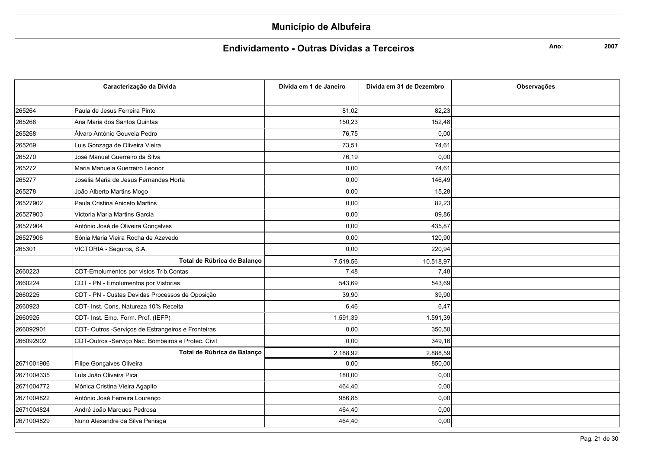#### Endividamento - Outras Dívidas a Terceiros

Ano:

|            | Caracterização da Dívida                           | Dívida em 1 de Janeiro | Dívida em 31 de Dezembro | <b>Observações</b> |
|------------|----------------------------------------------------|------------------------|--------------------------|--------------------|
|            |                                                    |                        |                          |                    |
| 265264     | Paula de Jesus Ferreira Pinto                      | 81,02                  | 82,23                    |                    |
| 265266     | Ana Maria dos Santos Quintas                       | 150,23                 | 152,48                   |                    |
| 265268     | Álvaro António Gouveia Pedro                       | 76,75                  | 0,00                     |                    |
| 265269     | Luis Gonzaga de Oliveira Vieira                    | 73,51                  | 74,61                    |                    |
| 265270     | José Manuel Guerreiro da Silva                     | 76,19                  | 0,00                     |                    |
| 265272     | Maria Manuela Guerreiro Leonor                     | 0,00                   | 74,61                    |                    |
| 265277     | Josélia Maria de Jesus Fernandes Horta             | 0,00                   | 146,49                   |                    |
| 265278     | João Alberto Martins Mogo                          | 0,00                   | 15,28                    |                    |
| 26527902   | Paula Cristina Aniceto Martins                     | 0,00                   | 82,23                    |                    |
| 26527903   | Victoria Maria Martins Garcia                      | 0,00                   | 89,86                    |                    |
| 26527904   | António José de Oliveira Gonçalves                 | 0,00                   | 435,87                   |                    |
| 26527906   | Sónia Maria Vieira Rocha de Azevedo                | 0,00                   | 120,90                   |                    |
| 265301     | VICTORIA - Seguros, S.A.                           | 0,00                   | 220,94                   |                    |
|            | Total de Rúbrica de Balanco                        | 7.519,56               | 10.518,97                |                    |
| 2660223    | CDT-Emolumentos por vistos Trib.Contas             | 7,48                   | 7,48                     |                    |
| 2660224    | CDT - PN - Emolumentos por Vistorias               | 543,69                 | 543,69                   |                    |
| 2660225    | CDT - PN - Custas Devidas Processos de Oposição    | 39,90                  | 39,90                    |                    |
| 2660923    | CDT- Inst. Cons. Natureza 10% Receita              | 6,46                   | 6,47                     |                    |
| 2660925    | CDT- Inst. Emp. Form. Prof. (IEFP)                 | 1.591,39               | 1.591,39                 |                    |
| 266092901  | CDT-Outros -Serviços de Estrangeiros e Fronteiras  | 0,00                   | 350,50                   |                    |
| 266092902  | CDT-Outros -Serviço Nac. Bombeiros e Protec. Civil | 0,00                   | 349,16                   |                    |
|            | Total de Rúbrica de Balanço                        | 2.188,92               | 2.888,59                 |                    |
| 2671001906 | Filipe Gonçalves Oliveira                          | 0,00                   | 850,00                   |                    |
| 2671004335 | Luís João Oliveira Pica                            | 180,00                 | 0,00                     |                    |
| 2671004772 | Mónica Cristina Vieira Agapito                     | 464,40                 | 0,00                     |                    |
| 2671004822 | António José Ferreira Lourenço                     | 986,85                 | 0,00                     |                    |
| 2671004824 | André João Marques Pedrosa                         | 464,40                 | 0,00                     |                    |
| 2671004829 | Nuno Alexandre da Silva Penisga                    | 464,40                 | 0,00                     |                    |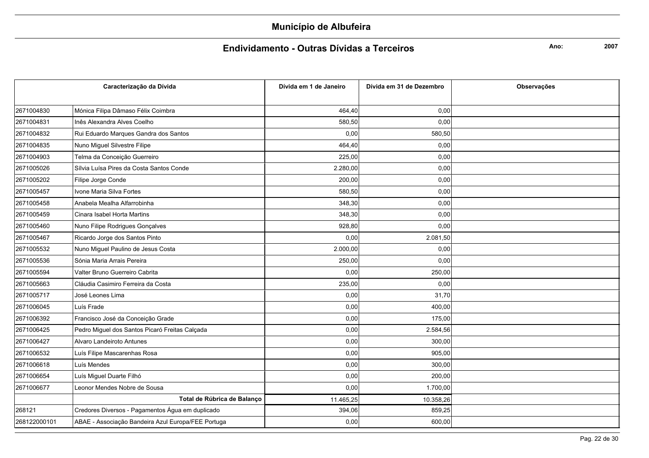### Endividamento - Outras Dívidas a Terceiros

Ano:

|              | Caracterização da Dívida                           | Dívida em 1 de Janeiro | Dívida em 31 de Dezembro | <b>Observações</b> |
|--------------|----------------------------------------------------|------------------------|--------------------------|--------------------|
|              |                                                    |                        |                          |                    |
| 2671004830   | Mónica Filipa Dâmaso Félix Coimbra                 | 464,40                 | 0,00                     |                    |
| 2671004831   | Inês Alexandra Alves Coelho                        | 580,50                 | 0,00                     |                    |
| 2671004832   | Rui Eduardo Marques Gandra dos Santos              | 0,00                   | 580,50                   |                    |
| 2671004835   | Nuno Miguel Silvestre Filipe                       | 464,40                 | 0,00                     |                    |
| 2671004903   | Telma da Conceição Guerreiro                       | 225,00                 | 0,00                     |                    |
| 2671005026   | Sílvia Luísa Pires da Costa Santos Conde           | 2.280,00               | 0,00                     |                    |
| 2671005202   | Filipe Jorge Conde                                 | 200,00                 | 0,00                     |                    |
| 2671005457   | Ivone Maria Silva Fortes                           | 580,50                 | 0,00                     |                    |
| 2671005458   | Anabela Mealha Alfarrobinha                        | 348,30                 | 0,00                     |                    |
| 2671005459   | Cinara Isabel Horta Martins                        | 348,30                 | 0,00                     |                    |
| 2671005460   | Nuno Filipe Rodrigues Gonçalves                    | 928,80                 | 0,00                     |                    |
| 2671005467   | Ricardo Jorge dos Santos Pinto                     | 0,00                   | 2.081,50                 |                    |
| 2671005532   | Nuno Miguel Paulino de Jesus Costa                 | 2.000,00               | 0,00                     |                    |
| 2671005536   | Sónia Maria Arrais Pereira                         | 250,00                 | 0,00                     |                    |
| 2671005594   | Valter Bruno Guerreiro Cabrita                     | 0,00                   | 250,00                   |                    |
| 2671005663   | Cláudia Casimiro Ferreira da Costa                 | 235,00                 | 0,00                     |                    |
| 2671005717   | José Leones Lima                                   | 0,00                   | 31,70                    |                    |
| 2671006045   | Luís Frade                                         | 0,00                   | 400,00                   |                    |
| 2671006392   | Francisco José da Conceição Grade                  | 0,00                   | 175,00                   |                    |
| 2671006425   | Pedro Miguel dos Santos Picaró Freitas Calçada     | 0,00                   | 2.584,56                 |                    |
| 2671006427   | Alvaro Landeiroto Antunes                          | 0,00                   | 300,00                   |                    |
| 2671006532   | Luís Filipe Mascarenhas Rosa                       | 0,00                   | 905,00                   |                    |
| 2671006618   | Luís Mendes                                        | 0,00                   | 300,00                   |                    |
| 2671006654   | Luís Miguel Duarte Filhó                           | 0,00                   | 200,00                   |                    |
| 2671006677   | Leonor Mendes Nobre de Sousa                       | 0,00                   | 1.700,00                 |                    |
|              | Total de Rúbrica de Balanço                        | 11.465,25              | 10.358,26                |                    |
| 268121       | Credores Diversos - Pagamentos Água em duplicado   | 394,06                 | 859,25                   |                    |
| 268122000101 | ABAE - Associação Bandeira Azul Europa/FEE Portuga | 0,00                   | 600,00                   |                    |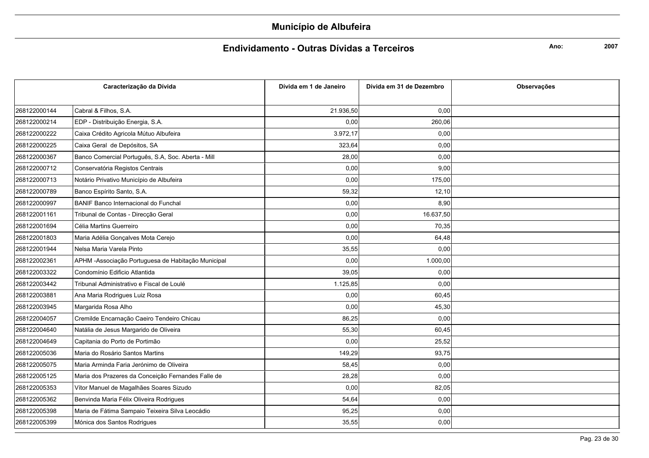### Endividamento - Outras Dívidas a Terceiros

Ano:

|              | Caracterização da Dívida                            | Dívida em 1 de Janeiro | Dívida em 31 de Dezembro | <b>Observações</b> |
|--------------|-----------------------------------------------------|------------------------|--------------------------|--------------------|
|              |                                                     |                        |                          |                    |
| 268122000144 | Cabral & Filhos, S.A.                               | 21.936,50              | 0,00                     |                    |
| 268122000214 | EDP - Distribuição Energia, S.A.                    | 0,00                   | 260,06                   |                    |
| 268122000222 | Caixa Crédito Agricola Mútuo Albufeira              | 3.972,17               | 0,00                     |                    |
| 268122000225 | Caixa Geral de Depósitos, SA                        | 323,64                 | 0,00                     |                    |
| 268122000367 | Banco Comercial Português, S.A, Soc. Aberta - Mill  | 28,00                  | 0,00                     |                    |
| 268122000712 | Conservatória Registos Centrais                     | 0,00                   | 9,00                     |                    |
| 268122000713 | Notário Privativo Município de Albufeira            | 0,00                   | 175,00                   |                    |
| 268122000789 | Banco Espírito Santo, S.A.                          | 59,32                  | 12,10                    |                    |
| 268122000997 | BANIF Banco Internacional do Funchal                | 0,00                   | 8,90                     |                    |
| 268122001161 | Tribunal de Contas - Direcção Geral                 | 0,00                   | 16.637,50                |                    |
| 268122001694 | Célia Martins Guerreiro                             | 0,00                   | 70,35                    |                    |
| 268122001803 | Maria Adélia Gonçalves Mota Cerejo                  | 0,00                   | 64,48                    |                    |
| 268122001944 | Nelsa Maria Varela Pinto                            | 35,55                  | 0,00                     |                    |
| 268122002361 | APHM - Associação Portuguesa de Habitação Municipal | 0,00                   | 1.000,00                 |                    |
| 268122003322 | Condomínio Edificio Atlantida                       | 39,05                  | 0,00                     |                    |
| 268122003442 | Tribunal Administrativo e Fiscal de Loulé           | 1.125,85               | 0,00                     |                    |
| 268122003881 | Ana Maria Rodrigues Luiz Rosa                       | 0,00                   | 60,45                    |                    |
| 268122003945 | Margarida Rosa Alho                                 | 0,00                   | 45,30                    |                    |
| 268122004057 | Cremilde Encarnação Caeiro Tendeiro Chicau          | 86,25                  | 0,00                     |                    |
| 268122004640 | Natália de Jesus Margarido de Oliveira              | 55,30                  | 60,45                    |                    |
| 268122004649 | Capitania do Porto de Portimão                      | 0,00                   | 25,52                    |                    |
| 268122005036 | Maria do Rosário Santos Martins                     | 149,29                 | 93,75                    |                    |
| 268122005075 | Maria Arminda Faria Jerónimo de Oliveira            | 58,45                  | 0,00                     |                    |
| 268122005125 | Maria dos Prazeres da Conceição Fernandes Falle de  | 28,28                  | 0,00                     |                    |
| 268122005353 | Vítor Manuel de Magalhães Soares Sizudo             | 0,00                   | 82,05                    |                    |
| 268122005362 | Benvinda Maria Félix Oliveira Rodrigues             | 54,64                  | 0,00                     |                    |
| 268122005398 | Maria de Fátima Sampaio Teixeira Silva Leocádio     | 95,25                  | 0,00                     |                    |
| 268122005399 | Mónica dos Santos Rodrigues                         | 35,55                  | 0,00                     |                    |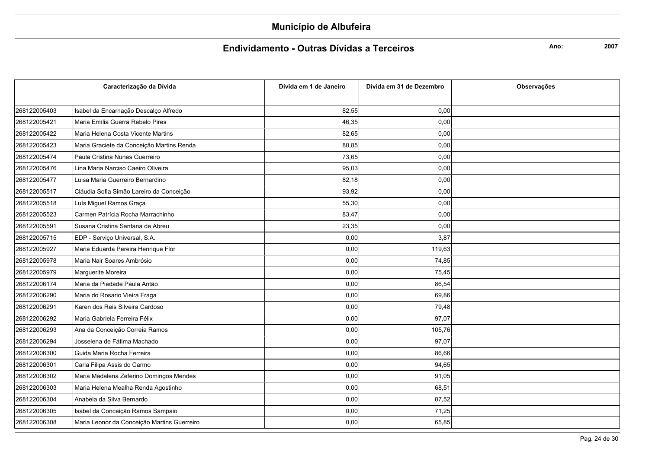### Endividamento - Outras Dívidas a Terceiros

Ano:

|              | Caracterização da Dívida                    | Dívida em 1 de Janeiro | Dívida em 31 de Dezembro | <b>Observações</b> |
|--------------|---------------------------------------------|------------------------|--------------------------|--------------------|
|              |                                             |                        |                          |                    |
| 268122005403 | Isabel da Encarnação Descalço Alfredo       | 82,55                  | 0,00                     |                    |
| 268122005421 | Maria Emília Guerra Rebelo Pires            | 46,35                  | 0,00                     |                    |
| 268122005422 | Maria Helena Costa Vicente Martins          | 82,65                  | 0,00                     |                    |
| 268122005423 | Maria Graciete da Conceição Martins Renda   | 80,85                  | 0,00                     |                    |
| 268122005474 | Paula Cristina Nunes Guerreiro              | 73,65                  | 0,00                     |                    |
| 268122005476 | Lina Maria Narciso Caeiro Oliveira          | 95,03                  | 0,00                     |                    |
| 268122005477 | Luisa Maria Guerreiro Bernardino            | 82,18                  | 0,00                     |                    |
| 268122005517 | Cláudia Sofia Simão Lareiro da Conceição    | 93,92                  | 0,00                     |                    |
| 268122005518 | Luís Miguel Ramos Graça                     | 55,30                  | 0,00                     |                    |
| 268122005523 | Carmen Patrícia Rocha Marrachinho           | 83,47                  | 0,00                     |                    |
| 268122005591 | Susana Cristina Santana de Abreu            | 23,35                  | 0,00                     |                    |
| 268122005715 | EDP - Serviço Universal, S.A.               | 0,00                   | 3,87                     |                    |
| 268122005927 | Maria Eduarda Pereira Henrique Flor         | 0,00                   | 119,63                   |                    |
| 268122005978 | Maria Nair Soares Ambrósio                  | 0,00                   | 74,85                    |                    |
| 268122005979 | Marguerite Moreira                          | 0,00                   | 75,45                    |                    |
| 268122006174 | Maria da Piedade Paula Antão                | 0,00                   | 86,54                    |                    |
| 268122006290 | Maria do Rosario Vieira Fraga               | 0,00                   | 69,86                    |                    |
| 268122006291 | Karen dos Reis Silveira Cardoso             | 0,00                   | 79,48                    |                    |
| 268122006292 | Maria Gabriela Ferreira Félix               | 0,00                   | 97,07                    |                    |
| 268122006293 | Ana da Conceição Correia Ramos              | 0,00                   | 105,76                   |                    |
| 268122006294 | Josselena de Fátima Machado                 | 0,00                   | 97,07                    |                    |
| 268122006300 | Guida Maria Rocha Ferreira                  | 0,00                   | 86,66                    |                    |
| 268122006301 | Carla Filipa Assis do Carmo                 | 0,00                   | 94,65                    |                    |
| 268122006302 | Maria Madalena Zeferino Domingos Mendes     | 0,00                   | 91,05                    |                    |
| 268122006303 | Maria Helena Mealha Renda Agostinho         | 0,00                   | 68,51                    |                    |
| 268122006304 | Anabela da Silva Bernardo                   | 0,00                   | 87,52                    |                    |
| 268122006305 | Isabel da Conceição Ramos Sampaio           | 0,00                   | 71,25                    |                    |
| 268122006308 | Maria Leonor da Conceição Martins Guerreiro | 0,00                   | 65,85                    |                    |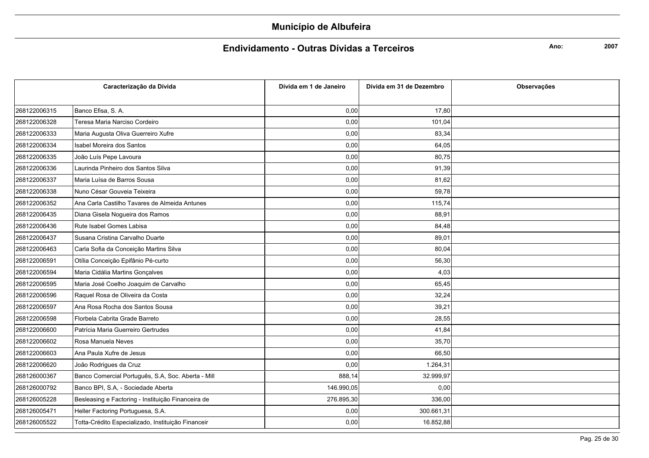#### Endividamento - Outras Dívidas a Terceiros

Ano:

| Caracterização da Dívida |                                                    | Dívida em 1 de Janeiro | Dívida em 31 de Dezembro | <b>Observações</b> |
|--------------------------|----------------------------------------------------|------------------------|--------------------------|--------------------|
|                          |                                                    |                        |                          |                    |
| 268122006315             | Banco Efisa, S. A.                                 | 0,00                   | 17,80                    |                    |
| 268122006328             | Teresa Maria Narciso Cordeiro                      | 0,00                   | 101,04                   |                    |
| 268122006333             | Maria Augusta Oliva Guerreiro Xufre                | 0,00                   | 83,34                    |                    |
| 268122006334             | Isabel Moreira dos Santos                          | 0,00                   | 64,05                    |                    |
| 268122006335             | João Luís Pepe Lavoura                             | 0,00                   | 80,75                    |                    |
| 268122006336             | Laurinda Pinheiro dos Santos Silva                 | 0,00                   | 91,39                    |                    |
| 268122006337             | Maria Luísa de Barros Sousa                        | 0,00                   | 81,62                    |                    |
| 268122006338             | Nuno César Gouveia Teixeira                        | 0,00                   | 59,78                    |                    |
| 268122006352             | Ana Carla Castilho Tavares de Almeida Antunes      | 0,00                   | 115,74                   |                    |
| 268122006435             | Diana Gisela Nogueira dos Ramos                    | 0,00                   | 88,91                    |                    |
| 268122006436             | Rute Isabel Gomes Labisa                           | 0.00                   | 84,48                    |                    |
| 268122006437             | Susana Cristina Carvalho Duarte                    | 0,00                   | 89,01                    |                    |
| 268122006463             | Carla Sofia da Conceição Martins Silva             | 0,00                   | 80,04                    |                    |
| 268122006591             | Otília Conceição Epifânio Pé-curto                 | 0,00                   | 56,30                    |                    |
| 268122006594             | Maria Cidália Martins Gonçalves                    | 0,00                   | 4,03                     |                    |
| 268122006595             | Maria José Coelho Joaquim de Carvalho              | 0,00                   | 65,45                    |                    |
| 268122006596             | Raquel Rosa de Oliveira da Costa                   | 0,00                   | 32,24                    |                    |
| 268122006597             | Ana Rosa Rocha dos Santos Sousa                    | 0,00                   | 39,21                    |                    |
| 268122006598             | Florbela Cabrita Grade Barreto                     | 0,00                   | 28,55                    |                    |
| 268122006600             | Patrícia Maria Guerreiro Gertrudes                 | 0,00                   | 41,84                    |                    |
| 268122006602             | Rosa Manuela Neves                                 | 0,00                   | 35,70                    |                    |
| 268122006603             | Ana Paula Xufre de Jesus                           | 0,00                   | 66,50                    |                    |
| 268122006620             | João Rodrigues da Cruz                             | 0,00                   | 1.264,31                 |                    |
| 268126000367             | Banco Comercial Português, S.A, Soc. Aberta - Mill | 888,14                 | 32.999,97                |                    |
| 268126000792             | Banco BPI, S.A, - Sociedade Aberta                 | 146.990,05             | 0,00                     |                    |
| 268126005228             | Besleasing e Factoring - Instituição Financeira de | 276.895,30             | 336,00                   |                    |
| 268126005471             | Heller Factoring Portuguesa, S.A.                  | 0,00                   | 300.661,31               |                    |
| 268126005522             | Totta-Crédito Especializado, Instituição Financeir | 0,00                   | 16.852,88                |                    |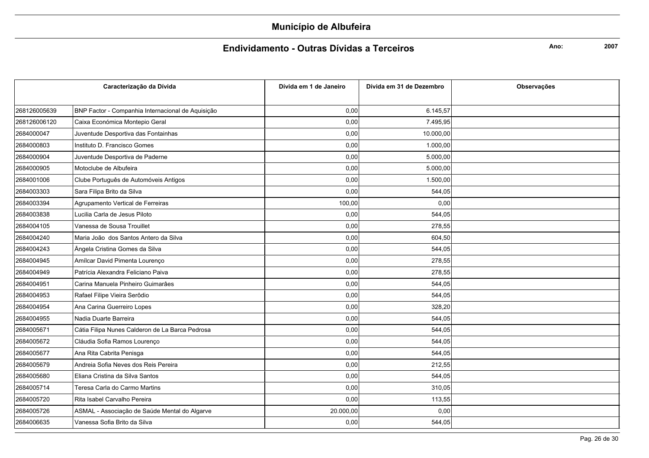### Endividamento - Outras Dívidas a Terceiros

Ano:

| Caracterização da Dívida |                                                   | Dívida em 1 de Janeiro | Dívida em 31 de Dezembro | Observações |
|--------------------------|---------------------------------------------------|------------------------|--------------------------|-------------|
|                          |                                                   |                        |                          |             |
| 268126005639             | BNP Factor - Companhia Internacional de Aquisição | 0,00                   | 6.145,57                 |             |
| 268126006120             | Caixa Económica Montepio Geral                    | 0,00                   | 7.495,95                 |             |
| 2684000047               | Juventude Desportiva das Fontainhas               | 0,00                   | 10.000,00                |             |
| 2684000803               | Instituto D. Francisco Gomes                      | 0,00                   | 1.000,00                 |             |
| 2684000904               | Juventude Desportiva de Paderne                   | 0,00                   | 5.000,00                 |             |
| 2684000905               | Motoclube de Albufeira                            | 0,00                   | 5.000,00                 |             |
| 2684001006               | Clube Português de Automóveis Antigos             | 0,00                   | 1.500,00                 |             |
| 2684003303               | Sara Filipa Brito da Silva                        | 0,00                   | 544,05                   |             |
| 2684003394               | Agrupamento Vertical de Ferreiras                 | 100,00                 | 0,00                     |             |
| 2684003838               | Lucilia Carla de Jesus Piloto                     | 0,00                   | 544,05                   |             |
| 2684004105               | Vanessa de Sousa Trouillet                        | 0,00                   | 278,55                   |             |
| 2684004240               | Maria João dos Santos Antero da Silva             | 0,00                   | 604,50                   |             |
| 2684004243               | Ângela Cristina Gomes da Silva                    | 0,00                   | 544,05                   |             |
| 2684004945               | Amílcar David Pimenta Lourenço                    | 0,00                   | 278,55                   |             |
| 2684004949               | Patrícia Alexandra Feliciano Paiva                | 0,00                   | 278,55                   |             |
| 2684004951               | Carina Manuela Pinheiro Guimarâes                 | 0,00                   | 544,05                   |             |
| 2684004953               | Rafael Filipe Vieira Serôdio                      | 0,00                   | 544,05                   |             |
| 2684004954               | Ana Carina Guerreiro Lopes                        | 0,00                   | 328,20                   |             |
| 2684004955               | Nadia Duarte Barreira                             | 0,00                   | 544,05                   |             |
| 2684005671               | Cátia Filipa Nunes Calderon de La Barca Pedrosa   | 0,00                   | 544,05                   |             |
| 2684005672               | Cláudia Sofia Ramos Lourenço                      | 0,00                   | 544,05                   |             |
| 2684005677               | Ana Rita Cabrita Penisga                          | 0,00                   | 544,05                   |             |
| 2684005679               | Andreia Sofia Neves dos Reis Pereira              | 0,00                   | 212,55                   |             |
| 2684005680               | Eliana Cristina da Silva Santos                   | 0,00                   | 544,05                   |             |
| 2684005714               | Teresa Carla do Carmo Martins                     | 0,00                   | 310,05                   |             |
| 2684005720               | Rita Isabel Carvalho Pereira                      | 0,00                   | 113,55                   |             |
| 2684005726               | ASMAL - Associação de Saúde Mental do Algarve     | 20.000,00              | 0,00                     |             |
| 2684006635               | Vanessa Sofia Brito da Silva                      | 0,00                   | 544,05                   |             |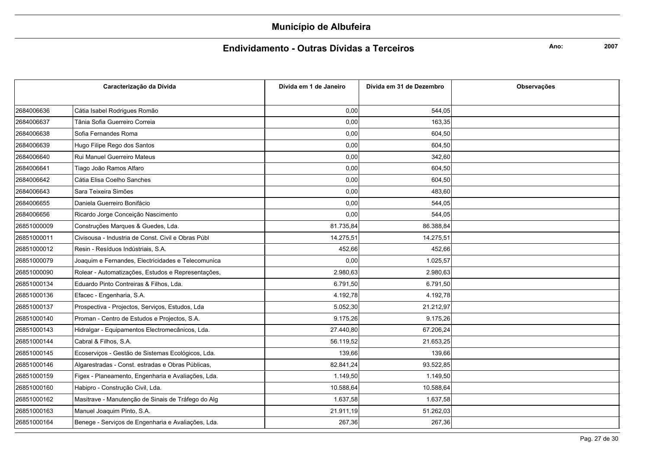#### Endividamento - Outras Dívidas a Terceiros

Ano:

| Caracterização da Dívida |                                                    | Dívida em 1 de Janeiro | Dívida em 31 de Dezembro | Observações |
|--------------------------|----------------------------------------------------|------------------------|--------------------------|-------------|
|                          |                                                    |                        |                          |             |
| 2684006636               | Cátia Isabel Rodrigues Romão                       | 0,00                   | 544,05                   |             |
| 2684006637               | Tânia Sofia Guerreiro Correia                      | 0,00                   | 163,35                   |             |
| 2684006638               | Sofia Fernandes Roma                               | 0,00                   | 604,50                   |             |
| 2684006639               | Hugo Filipe Rego dos Santos                        | 0,00                   | 604,50                   |             |
| 2684006640               | Rui Manuel Guerreiro Mateus                        | 0,00                   | 342,60                   |             |
| 2684006641               | Tiago João Ramos Alfaro                            | 0,00                   | 604,50                   |             |
| 2684006642               | Cátia Elisa Coelho Sanches                         | 0,00                   | 604,50                   |             |
| 2684006643               | Sara Teixeira Simões                               | 0,00                   | 483,60                   |             |
| 2684006655               | Daniela Guerreiro Bonifácio                        | 0,00                   | 544,05                   |             |
| 2684006656               | Ricardo Jorge Conceição Nascimento                 | 0,00                   | 544,05                   |             |
| 26851000009              | Construções Marques & Guedes, Lda.                 | 81.735,84              | 86.388,84                |             |
| 26851000011              | Civisousa - Industria de Const. Civil e Obras Públ | 14.275,51              | 14.275,51                |             |
| 26851000012              | Resin - Resíduos Indústriais, S.A.                 | 452,66                 | 452,66                   |             |
| 26851000079              | Joaquim e Fernandes, Electricidades e Telecomunica | 0,00                   | 1.025,57                 |             |
| 26851000090              | Rolear - Automatizações, Estudos e Representações, | 2.980,63               | 2.980,63                 |             |
| 26851000134              | Eduardo Pinto Contreiras & Filhos, Lda.            | 6.791,50               | 6.791,50                 |             |
| 26851000136              | Efacec - Engenharia, S.A.                          | 4.192,78               | 4.192,78                 |             |
| 26851000137              | Prospectiva - Projectos, Serviços, Estudos, Lda    | 5.052,30               | 21.212,97                |             |
| 26851000140              | Proman - Centro de Estudos e Projectos, S.A.       | 9.175,26               | 9.175,26                 |             |
| 26851000143              | Hidralgar - Equipamentos Electromecânicos, Lda.    | 27.440,80              | 67.206,24                |             |
| 26851000144              | Cabral & Filhos, S.A.                              | 56.119,52              | 21.653,25                |             |
| 26851000145              | Ecoserviços - Gestão de Sistemas Ecológicos, Lda.  | 139,66                 | 139,66                   |             |
| 26851000146              | Algarestradas - Const. estradas e Obras Públicas,  | 82.841,24              | 93.522,85                |             |
| 26851000159              | Figex - Planeamento, Engenharia e Avaliações, Lda. | 1.149,50               | 1.149,50                 |             |
| 26851000160              | Habipro - Construção Civil, Lda.                   | 10.588,64              | 10.588,64                |             |
| 26851000162              | Masitrave - Manutenção de Sinais de Tráfego do Alg | 1.637,58               | 1.637,58                 |             |
| 26851000163              | Manuel Joaquim Pinto, S.A.                         | 21.911,19              | 51.262,03                |             |
| 26851000164              | Benege - Serviços de Engenharia e Avaliações, Lda. | 267,36                 | 267,36                   |             |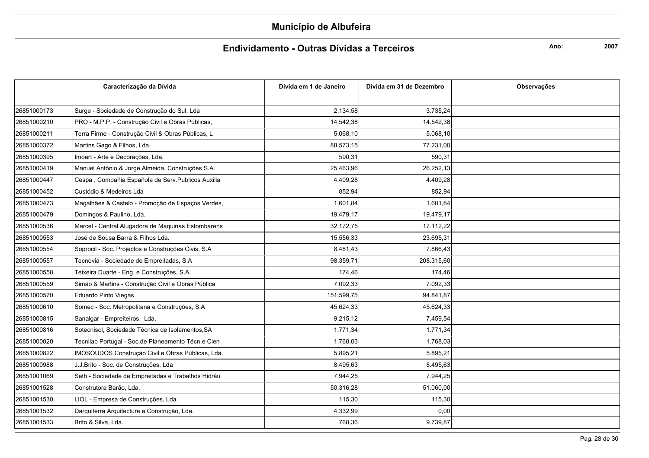### Endividamento - Outras Dívidas a Terceiros

Ano:

| Caracterização da Dívida |                                                    | Dívida em 1 de Janeiro | Dívida em 31 de Dezembro | Observações |
|--------------------------|----------------------------------------------------|------------------------|--------------------------|-------------|
|                          |                                                    |                        |                          |             |
| 26851000173              | Surge - Sociedade de Construção do Sul, Lda        | 2.134,58               | 3.735,24                 |             |
| 26851000210              | PRO - M.P.P. - Construção Civil e Obras Públicas,  | 14.542,38              | 14.542,38                |             |
| 26851000211              | Terra Firme - Construção Civil & Obras Públicas, L | 5.068, 10              | 5.068,10                 |             |
| 26851000372              | Martins Gago & Filhos, Lda.                        | 88.573,15              | 77.231,00                |             |
| 26851000395              | Imoart - Arte e Decorações, Lda.                   | 590,31                 | 590.31                   |             |
| 26851000419              | Manuel António & Jorge Almeida, Construções S.A.   | 25.463,96              | 26.252,13                |             |
| 26851000447              | Cespa, Compañia Española de Serv. Publicos Auxilia | 4.409,28               | 4.409,28                 |             |
| 26851000452              | Custódio & Medeiros Lda                            | 852,94                 | 852,94                   |             |
| 26851000473              | Magalhães & Castelo - Promoção de Espaços Verdes,  | 1.601,84               | 1.601,84                 |             |
| 26851000479              | Domingos & Paulino, Lda.                           | 19.479,17              | 19.479,17                |             |
| 26851000536              | Marcel - Central Alugadora de Máquinas Estombarens | 32.172,75              | 17.112,22                |             |
| 26851000553              | José de Sousa Barra & Filhos Lda.                  | 15.556,33              | 23.695,31                |             |
| 26851000554              | Soprocil - Soc. Projectos e Construções Civis, S.A | 8.481,43               | 7.866,43                 |             |
| 26851000557              | Tecnovia - Sociedade de Empreitadas, S.A           | 98.359,71              | 208.315,60               |             |
| 26851000558              | Teixeira Duarte - Eng. e Construções, S.A.         | 174,46                 | 174,46                   |             |
| 26851000559              | Simão & Martins - Construção Civil e Obras Pública | 7.092,33               | 7.092,33                 |             |
| 26851000570              | Eduardo Pinto Viegas                               | 151.599,75             | 94.841,87                |             |
| 26851000610              | Somec - Soc. Metropolitana e Construções, S.A      | 45.624,33              | 45.624,33                |             |
| 26851000815              | Sanalgar - Empreiteiros, Lda.                      | 9.215,12               | 7.459.54                 |             |
| 26851000816              | Sotecnisol, Sociedade Técnica de Isolamentos, SA   | 1.771,34               | 1.771,34                 |             |
| 26851000820              | Tecnilab Portugal - Soc.de Planeamento Técn.e Cien | 1.768,03               | 1.768,03                 |             |
| 26851000822              | IMOSOUDOS Construção Civil e Obras Públicas, Lda.  | 5.895,21               | 5.895,21                 |             |
| 26851000988              | J.J.Brito - Soc. de Construções, Lda               | 8.495,63               | 8.495,63                 |             |
| 26851001069              | Seth - Sociedade de Empreitadas e Trabalhos Hidráu | 7.944,25               | 7.944,25                 |             |
| 26851001528              | Construtora Barão, Lda.                            | 50.316,28              | 51.060,00                |             |
| 26851001530              | LIOL - Empresa de Construções, Lda.                | 115,30                 | 115,30                   |             |
| 26851001532              | Darquiterra Arquitectura e Construção, Lda.        | 4.332,99               | 0,00                     |             |
| 26851001533              | Brito & Silva, Lda.                                | 768,36                 | 9.739,87                 |             |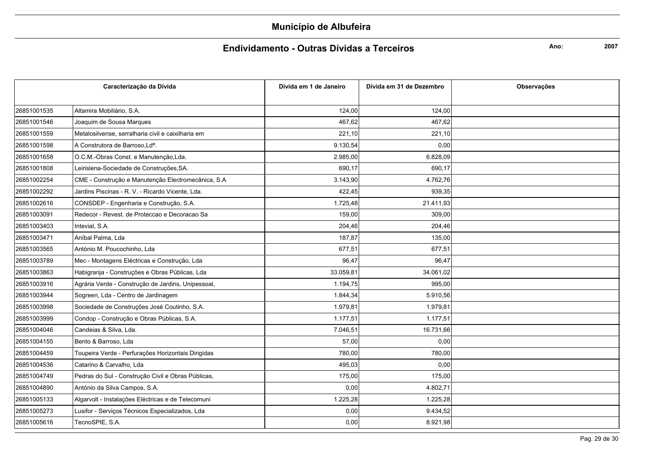### Endividamento - Outras Dívidas a Terceiros

Ano:

| Caracterização da Dívida |                                                    | Dívida em 1 de Janeiro | Dívida em 31 de Dezembro | Observações |
|--------------------------|----------------------------------------------------|------------------------|--------------------------|-------------|
|                          |                                                    |                        |                          |             |
| 26851001535              | Altamira Mobiliário, S.A.                          | 124,00                 | 124,00                   |             |
| 26851001546              | Joaquim de Sousa Marques                           | 467,62                 | 467,62                   |             |
| 26851001559              | Metalosilvense, serralharia civil e caixilharia em | 221,10                 | 221,10                   |             |
| 26851001598              | A Construtora de Barroso, Ldª.                     | 9.130,54               | 0,00                     |             |
| 26851001658              | O.C.M.-Obras Const. e Manutenção,Lda.              | 2.985,00               | 6.828,09                 |             |
| 26851001808              | Leirislena-Sociedade de Construções, SA.           | 690,17                 | 690.17                   |             |
| 26851002254              | CME - Construção e Manutenção Electromecânica, S.A | 3.143,90               | 4.762,76                 |             |
| 26851002292              | Jardins Piscinas - R. V. - Ricardo Vicente, Lda.   | 422,45                 | 939,35                   |             |
| 26851002616              | CONSDEP - Engenharia e Construção, S.A.            | 1.725,48               | 21.411,93                |             |
| 26851003091              | Redecor - Revest. de Proteccao e Decoracao Sa      | 159,00                 | 309,00                   |             |
| 26851003403              | Intevial, S.A.                                     | 204,46                 | 204,46                   |             |
| 26851003471              | Aníbal Palma, Lda                                  | 187.87                 | 135.00                   |             |
| 26851003565              | António M. Poucochinho, Lda                        | 677,51                 | 677,51                   |             |
| 26851003789              | Mec - Montagens Eléctricas e Construção, Lda       | 96,47                  | 96,47                    |             |
| 26851003863              | Habigranja - Construções e Obras Públicas, Lda     | 33.059,81              | 34.061,02                |             |
| 26851003916              | Agrária Verde - Construção de Jardins, Unipessoal, | 1.194,75               | 995,00                   |             |
| 26851003944              | Sogreen, Lda - Centro de Jardinagem                | 1.844,34               | 5.910,56                 |             |
| 26851003998              | Sociedade de Construções José Coutinho, S.A.       | 1.979,81               | 1.979,81                 |             |
| 26851003999              | Condop - Construção e Obras Públicas, S.A.         | 1.177.51               | 1.177,51                 |             |
| 26851004046              | Candeias & Silva, Lda.                             | 7.046,51               | 16.731,66                |             |
| 26851004155              | Bento & Barroso, Lda                               | 57,00                  | 0,00                     |             |
| 26851004459              | Toupeira Verde - Perfurações Horizontais Dirigidas | 780,00                 | 780,00                   |             |
| 26851004536              | Catarino & Carvalho, Lda                           | 495,03                 | 0,00                     |             |
| 26851004749              | Pedras do Sul - Construção Civil e Obras Públicas, | 175,00                 | 175,00                   |             |
| 26851004890              | António da Silva Campos, S.A.                      | 0,00                   | 4.802,71                 |             |
| 26851005133              | Algarvolt - Instalações Eléctricas e de Telecomuni | 1.225,28               | 1.225,28                 |             |
| 26851005273              | Lusifor - Serviços Técnicos Especializados, Lda    | 0,00                   | 9.434,52                 |             |
| 26851005616              | TecnoSPIE, S.A.                                    | 0,00                   | 8.921,98                 |             |